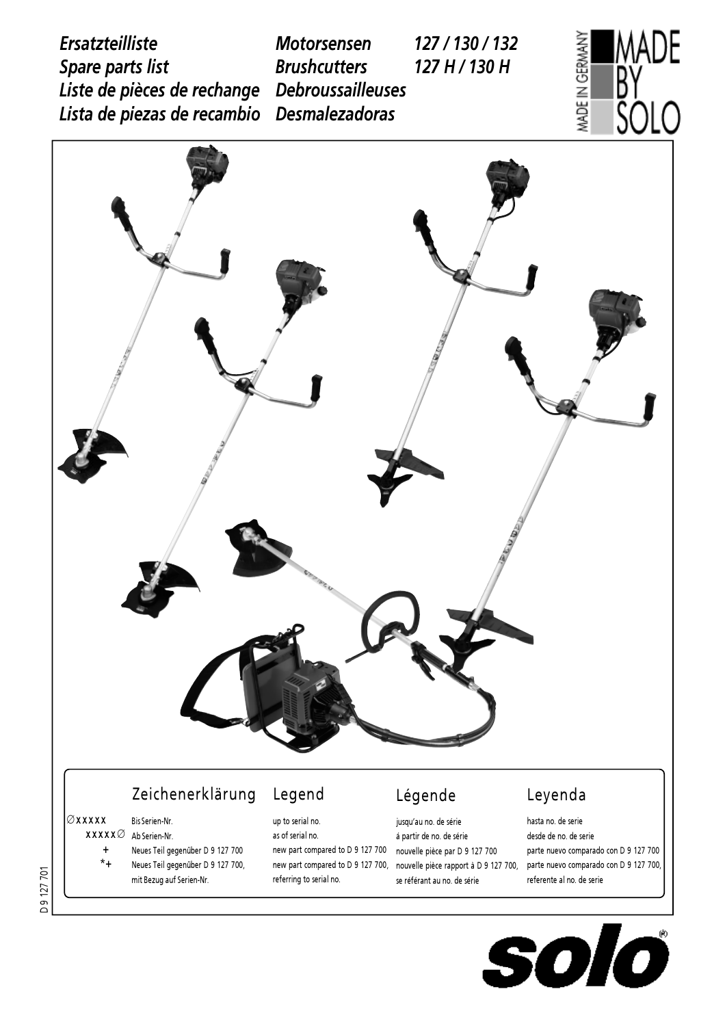AADE *Ersatzteilliste* MADE IN GERMANY *Motorsensen 127 / 130 / 132 Spare parts list Brushcutters 127 H / 130 H Liste de pièces de rechange Debroussailleuses* ŜÒLO *Lista de piezas de recambio Desmalezadoras*



 $\overline{\boldsymbol{O}}$ SO K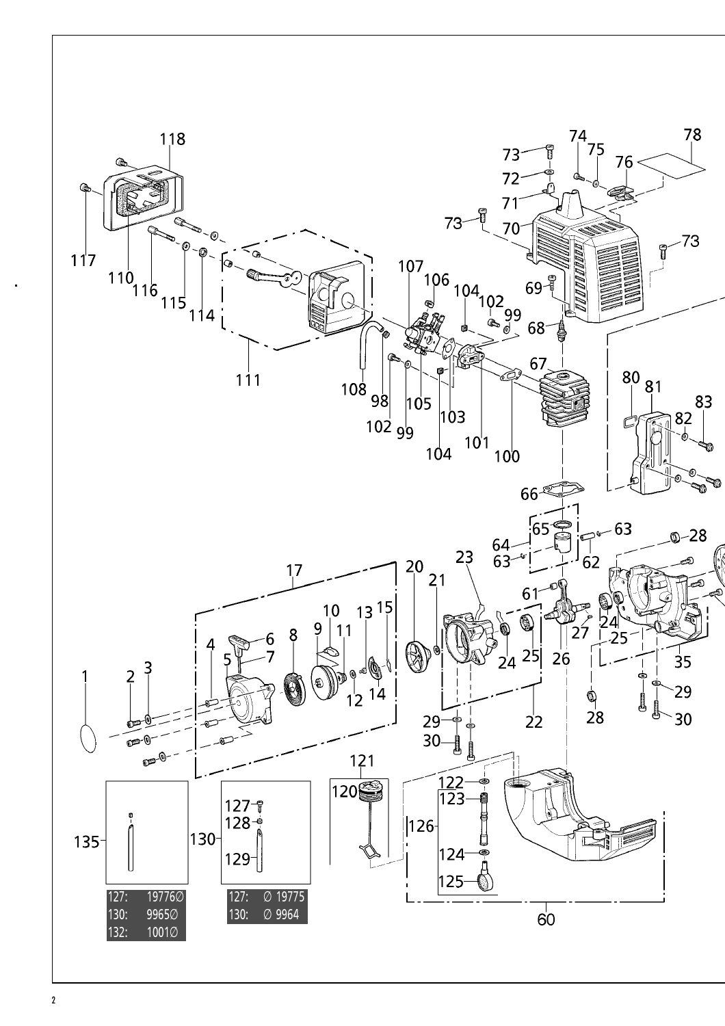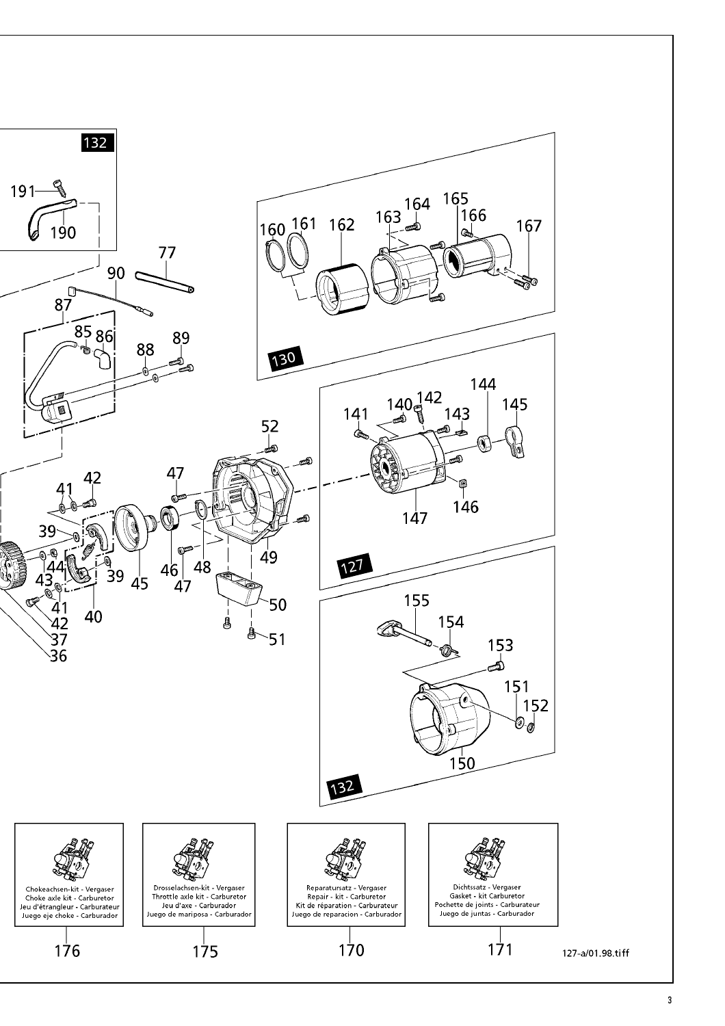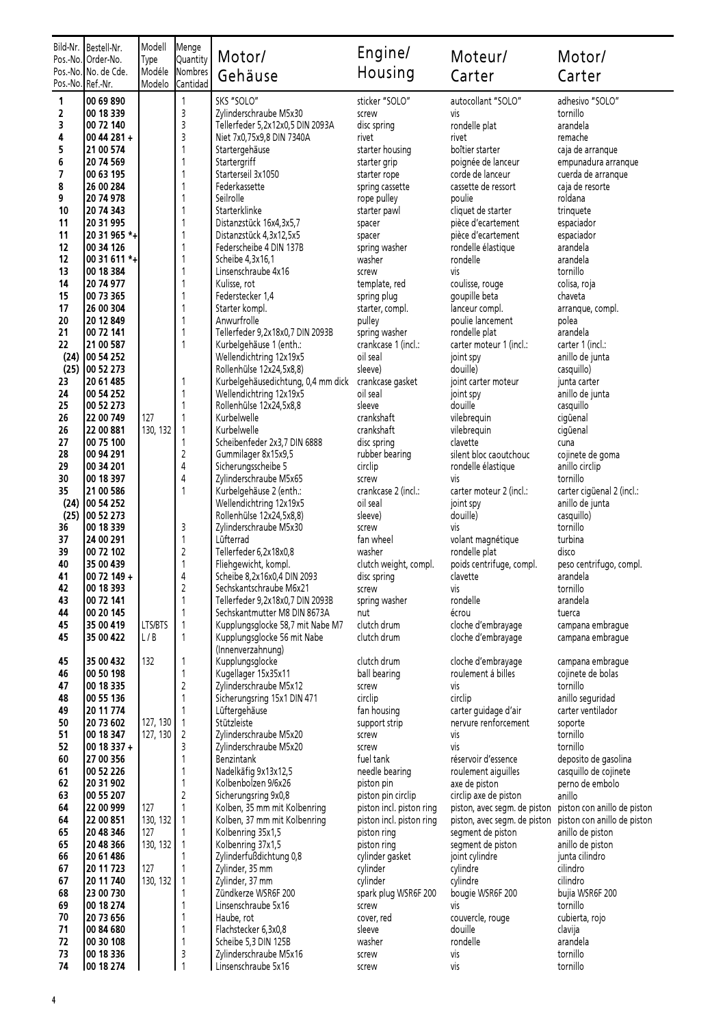|                   | Bild-Nr.   Bestell-Nr.<br>Pos.-No.10rder-No. | Modell<br>Type       | Menge<br>Quantity                       | Motor/                                                       | Engine/                                              | Moteur/                                                      | Motor/                                                     |
|-------------------|----------------------------------------------|----------------------|-----------------------------------------|--------------------------------------------------------------|------------------------------------------------------|--------------------------------------------------------------|------------------------------------------------------------|
|                   | Pos.-No. No. de Cde.                         | Modéle               | Nombres                                 | Gehäuse                                                      | Housing                                              | Carter                                                       | Carter                                                     |
| Pos.-No. Ref.-Nr. |                                              | Modelo               | Cantidad                                |                                                              |                                                      |                                                              |                                                            |
| 1                 | 00 69 890                                    |                      | 1                                       | SKS "SOLO"                                                   | sticker "SOLO"                                       | autocollant "SOLO"                                           | adhesivo "SOLO"                                            |
| 2                 | 00 18 339                                    |                      | 3                                       | Zylinderschraube M5x30                                       | screw                                                | vis                                                          | tornillo                                                   |
| 3<br>4            | 00 72 140<br>00 44 281 +                     |                      | 3<br>3                                  | Tellerfeder 5,2x12x0,5 DIN 2093A                             | disc spring<br>rivet                                 | rondelle plat<br>rivet                                       | arandela<br>remache                                        |
| 5                 | 21 00 574                                    |                      | 1                                       | Niet 7x0,75x9,8 DIN 7340A<br>Startergehäuse                  | starter housing                                      | boîtier starter                                              | caja de arranque                                           |
| 6                 | 20 74 569                                    |                      | 1                                       | Startergriff                                                 | starter grip                                         | poignée de lanceur                                           | empunadura arranque                                        |
| 7                 | 00 63 195                                    |                      | 1                                       | Starterseil 3x1050                                           | starter rope                                         | corde de lanceur                                             | cuerda de arranque                                         |
| 8                 | 26 00 284                                    |                      | 1                                       | Federkassette                                                | spring cassette                                      | cassette de ressort                                          | caja de resorte                                            |
| 9<br>10           | 20 74 978<br>20 74 343                       |                      | 1<br>1                                  | Seilrolle<br>Starterklinke                                   | rope pulley<br>starter pawl                          | poulie<br>cliquet de starter                                 | roldana<br>trinquete                                       |
| 11                | 20 31 995                                    |                      | 1                                       | Distanzstück 16x4, 3x5, 7                                    | spacer                                               | pièce d'ecartement                                           | espaciador                                                 |
| 11                | 20 31 965 *+                                 |                      | 1                                       | Distanzstück 4,3x12,5x5                                      | spacer                                               | pièce d'ecartement                                           | espaciador                                                 |
| 12                | 00 34 126                                    |                      | 1                                       | Federscheibe 4 DIN 137B                                      | spring washer                                        | rondelle élastique                                           | arandela                                                   |
| 12                | $0031611$ *+                                 |                      | 1                                       | Scheibe 4,3x16,1                                             | washer                                               | rondelle                                                     | arandela                                                   |
| 13<br>14          | 00 18 384<br>20 74 977                       |                      | 1<br>1                                  | Linsenschraube 4x16                                          | screw<br>template, red                               | vis<br>coulisse, rouge                                       | tornillo                                                   |
| 15                | 00 73 365                                    |                      | 1                                       | Kulisse, rot<br>Federstecker 1,4                             | spring plug                                          | goupille beta                                                | colisa, roja<br>chaveta                                    |
| 17                | 26 00 304                                    |                      | 1                                       | Starter kompl.                                               | starter, compl.                                      | lanceur compl.                                               | arranque, compl.                                           |
| 20                | 20 12 849                                    |                      | 1                                       | Anwurfrolle                                                  | pulley                                               | poulie lancement                                             | polea                                                      |
| 21                | 00 72 141                                    |                      | 1                                       | Tellerfeder 9,2x18x0,7 DIN 2093B                             | spring washer                                        | rondelle plat                                                | arandela                                                   |
| 22                | 21 00 587                                    |                      | $\mathbf{1}$                            | Kurbelgehäuse 1 (enth.:                                      | crankcase 1 (incl.:                                  | carter moteur 1 (incl.:                                      | carter 1 (incl.:                                           |
| (24)<br>(25)      | 00 54 252<br>00 52 273                       |                      |                                         | Wellendichtring 12x19x5<br>Rollenhülse 12x24,5x8,8)          | oil seal<br>sleeve)                                  | joint spy<br>douille)                                        | anillo de junta<br>casquillo)                              |
| 23                | 20 61 485                                    |                      | 1                                       | Kurbelgehäusedichtung, 0,4 mm dick                           | crankcase gasket                                     | joint carter moteur                                          | junta carter                                               |
| 24                | 00 54 252                                    |                      | $\mathbf{1}$                            | Wellendichtring 12x19x5                                      | oil seal                                             | joint spy                                                    | anillo de junta                                            |
| 25                | 00 52 273                                    |                      | $\mathbf{1}$                            | Rollenhülse 12x24,5x8,8                                      | sleeve                                               | douille                                                      | casquillo                                                  |
| 26                | 22 00 749                                    | 127                  | $\mathbf{1}$                            | Kurbelwelle                                                  | crankshaft                                           | vilebrequin                                                  | cigüenal                                                   |
| 26<br>27          | 22 00 881<br>00 75 100                       | 130, 132             | 1<br>1                                  | Kurbelwelle<br>Scheibenfeder 2x3,7 DIN 6888                  | crankshaft<br>disc spring                            | vilebrequin<br>clavette                                      | cigüenal<br>cuna                                           |
| 28                | 00 94 291                                    |                      | $\sqrt{2}$                              | Gummilager 8x15x9,5                                          | rubber bearing                                       | silent bloc caoutchouc                                       | cojinete de goma                                           |
| 29                | 00 34 201                                    |                      | $\overline{4}$                          | Sicherungsscheibe 5                                          | circlip                                              | rondelle élastique                                           | anillo circlip                                             |
| 30                | 00 18 397                                    |                      | $\overline{4}$                          | Zylinderschraube M5x65                                       | screw                                                | vis                                                          | tornillo                                                   |
| 35                | 21 00 586                                    |                      | $\mathbf{1}$                            | Kurbelgehäuse 2 (enth.:                                      | crankcase 2 (incl.:                                  | carter moteur 2 (incl.:                                      | carter cigüenal 2 (incl.:                                  |
| (24)              | 00 54 252                                    |                      |                                         | Wellendichtring 12x19x5                                      | oil seal                                             | joint spy                                                    | anillo de junta                                            |
| (25)<br>36        | 00 52 273<br>00 18 339                       |                      | 3                                       | Rollenhülse 12x24,5x8,8)<br>Zylinderschraube M5x30           | sleeve)<br>screw                                     | douille)<br>vis                                              | casquillo)<br>tornillo                                     |
| 37                | 24 00 291                                    |                      | $\mathbf{1}$                            | Lüfterrad                                                    | fan wheel                                            | volant magnétique                                            | turbina                                                    |
| 39                | 00 72 102                                    |                      | $\sqrt{2}$                              | Tellerfeder 6,2x18x0,8                                       | washer                                               | rondelle plat                                                | disco                                                      |
| 40                | 35 00 439                                    |                      | $\mathbf{1}$                            | Fliehgewicht, kompl.                                         | clutch weight, compl.                                | poids centrifuge, compl.                                     | peso centrifugo, compl.                                    |
| 41                | 00 72 149 +                                  |                      | 4                                       | Scheibe 8,2x16x0,4 DIN 2093<br>Sechskantschraube M6x21       | disc spring                                          | clavette                                                     | arandela<br>tornillo                                       |
| 42<br>43          | 00 18 393<br>00 72 141                       |                      | $\overline{\mathbf{c}}$<br>$\mathbf{1}$ | Tellerfeder 9,2x18x0,7 DIN 2093B                             | screw<br>spring washer                               | <b>VİS</b><br>rondelle                                       | arandela                                                   |
| 44                | 00 20 145                                    |                      | 1                                       | Sechskantmutter M8 DIN 8673A                                 | nut                                                  | écrou                                                        | tuerca                                                     |
| 45                | 35 00 419                                    | LTS/BTS              | 1                                       | Kupplungsglocke 58,7 mit Nabe M7                             | clutch drum                                          | cloche d'embrayage                                           | campana embraque                                           |
| 45                | 35 00 422                                    | L/B                  | 1                                       | Kupplungsglocke 56 mit Nabe                                  | clutch drum                                          | cloche d'embrayage                                           | campana embrague                                           |
| 45                | 35 00 432                                    | 132                  | 1                                       | (Innenverzahnung)<br>Kupplungsglocke                         | clutch drum                                          | cloche d'embrayage                                           |                                                            |
| 46                | 00 50 198                                    |                      | 1                                       | Kugellager 15x35x11                                          | ball bearing                                         | roulement á billes                                           | campana embrague<br>cojinete de bolas                      |
| 47                | 00 18 335                                    |                      | $\sqrt{2}$                              | Zylinderschraube M5x12                                       | screw                                                | vis                                                          | tornillo                                                   |
| 48                | 00 55 136                                    |                      | 1                                       | Sicherungsring 15x1 DIN 471                                  | circlip                                              | circlip                                                      | anillo seguridad                                           |
| 49                | 20 11 774                                    |                      | $\mathbf{1}$                            | Lüftergehäuse                                                | fan housing                                          | carter guidage d'air                                         | carter ventilador                                          |
| 50<br>51          | 20 73 602<br>00 18 347                       | 127, 130<br>127, 130 | 1<br>$\overline{2}$                     | Stützleiste<br>Zylinderschraube M5x20                        | support strip                                        | nervure renforcement<br>vis                                  | soporte<br>tornillo                                        |
| 52                | 00 18 337 +                                  |                      | 3                                       | Zylinderschraube M5x20                                       | screw<br>screw                                       | vis                                                          | tornillo                                                   |
| 60                | 27 00 356                                    |                      | 1                                       | <b>Benzintank</b>                                            | fuel tank                                            | réservoir d'essence                                          | deposito de gasolina                                       |
| 61                | 00 52 226                                    |                      | 1                                       | Nadelkäfig 9x13x12,5                                         | needle bearing                                       | roulement aiguilles                                          | casquillo de cojinete                                      |
| 62                | 20 31 902                                    |                      | $\mathbf{1}$                            | Kolbenbolzen 9/6x26                                          | piston pin                                           | axe de piston                                                | perno de embolo                                            |
| 63                | 00 55 207                                    |                      | $\sqrt{2}$                              | Sicherungsring 9x0,8                                         | piston pin circlip                                   | circlip axe de piston                                        | anillo                                                     |
| 64<br>64          | 22 00 999<br>22 00 851                       | 127<br>130, 132      | 1<br>1                                  | Kolben, 35 mm mit Kolbenring<br>Kolben, 37 mm mit Kolbenring | piston incl. piston ring<br>piston incl. piston ring | piston, avec segm. de piston<br>piston, avec segm. de piston | piston con anillo de piston<br>piston con anillo de piston |
| 65                | 20 48 346                                    | 127                  | 1                                       | Kolbenring 35x1,5                                            | piston ring                                          | segment de piston                                            | anillo de piston                                           |
| 65                | 20 48 366                                    | 130, 132             | 1                                       | Kolbenring 37x1,5                                            | piston ring                                          | segment de piston                                            | anillo de piston                                           |
| 66                | 20 61 486                                    |                      | 1                                       | Zylinderfußdichtung 0,8                                      | cylinder gasket                                      | joint cylindre                                               | junta cilindro                                             |
| 67                | 20 11 723                                    | 127<br>130, 132      | 1                                       | Zylinder, 35 mm                                              | cylinder<br>cylinder                                 | cylindre                                                     | cilindro<br>cilindro                                       |
| 67<br>68          | 20 11 740<br>23 00 730                       |                      | 1<br>1                                  | Zylinder, 37 mm<br>Zündkerze WSR6F 200                       | spark plug WSR6F 200                                 | cylindre<br>bougie WSR6F 200                                 | bujia WSR6F 200                                            |
| 69                | 00 18 274                                    |                      | 1                                       | Linsenschraube 5x16                                          | screw                                                | vis                                                          | tornillo                                                   |
| 70                | 20 73 656                                    |                      | 1                                       | Haube, rot                                                   | cover, red                                           | couvercle, rouge                                             | cubierta, rojo                                             |
| 71                | 00 84 680                                    |                      | 1                                       | Flachstecker 6,3x0,8                                         | sleeve                                               | douille                                                      | clavija                                                    |
| 72<br>73          | 00 30 108<br>00 18 336                       |                      | $\mathbf{1}$<br>3                       | Scheibe 5,3 DIN 125B                                         | washer                                               | rondelle<br>vis                                              | arandela<br>tornillo                                       |
| 74                | 00 18 274                                    |                      | 1                                       | Zylinderschraube M5x16<br>Linsenschraube 5x16                | screw<br>screw                                       | vis                                                          | tornillo                                                   |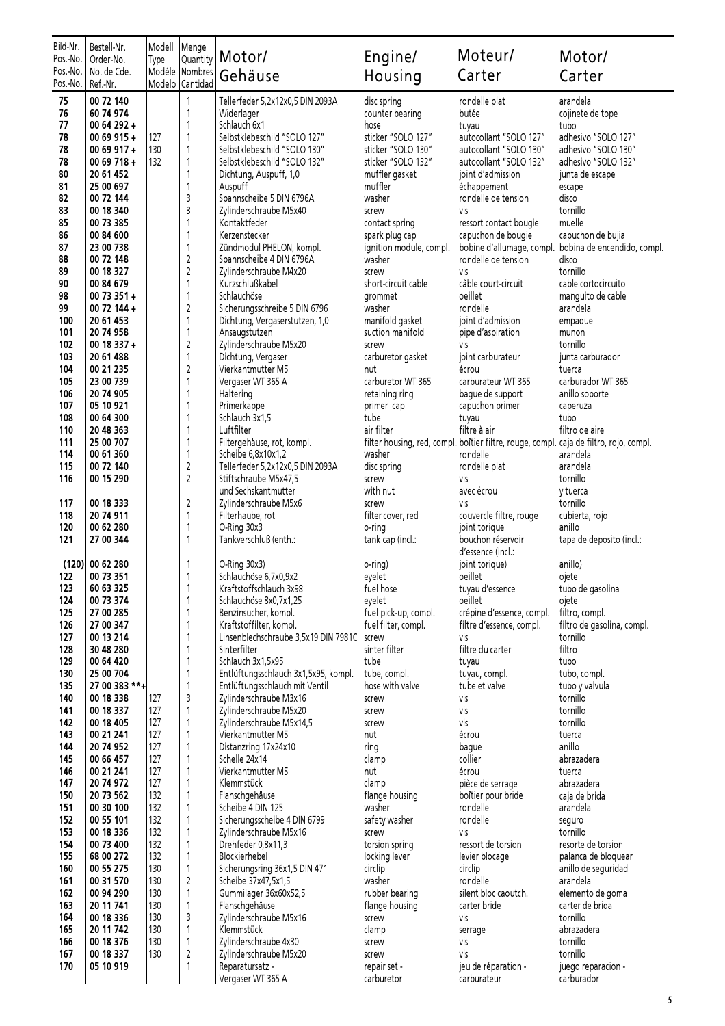| Bild-Nr.<br>Pos.-No. | Bestell-Nr.<br>Order-No.   | Modell<br>Type | Menge<br>Quantity          | Motor/                                                                | Engine/                                  | Moteur/                                                                                            | Motor/                                     |
|----------------------|----------------------------|----------------|----------------------------|-----------------------------------------------------------------------|------------------------------------------|----------------------------------------------------------------------------------------------------|--------------------------------------------|
| Pos.-No.<br>Pos.-No. | No. de Cde.<br>Ref.-Nr.    | Modelo         | Modéle Nombres<br>Cantidad | Gehäuse                                                               | Housing                                  | Carter                                                                                             | Carter                                     |
| 75                   | 00 72 140                  |                | 1                          | Tellerfeder 5,2x12x0,5 DIN 2093A                                      | disc spring                              | rondelle plat                                                                                      | arandela                                   |
| 76                   | 60 74 974                  |                | 1                          | Widerlager                                                            | counter bearing                          | butée                                                                                              | cojinete de tope                           |
| 77                   | 00 64 292 +                |                | 1                          | Schlauch 6x1                                                          | hose                                     | tuyau                                                                                              | tubo                                       |
| 78<br>78             | 00 69 915 +<br>00 69 917 + | 127<br>130     | 1<br>1                     | Selbstklebeschild "SOLO 127"<br>Selbstklebeschild "SOLO 130"          | sticker "SOLO 127"<br>sticker "SOLO 130" | autocollant "SOLO 127"<br>autocollant "SOLO 130"                                                   | adhesivo "SOLO 127"<br>adhesivo "SOLO 130" |
| 78                   | 00 69 718 +                | 132            | 1                          | Selbstklebeschild "SOLO 132"                                          | sticker "SOLO 132"                       | autocollant "SOLO 132"                                                                             | adhesivo "SOLO 132"                        |
| 80                   | 20 61 452                  |                | 1                          | Dichtung, Auspuff, 1,0                                                | muffler gasket                           | joint d'admission                                                                                  | junta de escape                            |
| 81                   | 25 00 697                  |                | 1                          | Auspuff                                                               | muffler                                  | échappement                                                                                        | escape                                     |
| 82                   | 00 72 144                  |                | 3                          | Spannscheibe 5 DIN 6796A                                              | washer                                   | rondelle de tension                                                                                | disco                                      |
| 83<br>85             | 00 18 340                  |                | 3<br>1                     | Zylinderschraube M5x40<br>Kontaktfeder                                | screw                                    | vis                                                                                                | tornillo                                   |
| 86                   | 00 73 385<br>00 84 600     |                | 1                          | Kerzenstecker                                                         | contact spring<br>spark plug cap         | ressort contact bougie<br>capuchon de bougie                                                       | muelle<br>capuchon de bujia                |
| 87                   | 23 00 738                  |                | 1                          | Zündmodul PHELON, kompl.                                              | ignition module, compl.                  | bobine d'allumage, compl.                                                                          | bobina de encendido, compl.                |
| 88                   | 00 72 148                  |                | $\overline{c}$             | Spannscheibe 4 DIN 6796A                                              | washer                                   | rondelle de tension                                                                                | disco                                      |
| 89                   | 00 18 327                  |                | $\overline{c}$             | Zylinderschraube M4x20                                                | screw                                    | vis                                                                                                | tornillo                                   |
| 90                   | 00 84 679                  |                | 1                          | Kurzschlußkabel                                                       | short-circuit cable                      | câble court-circuit                                                                                | cable cortocircuito                        |
| 98<br>99             | 00 73 351 +<br>00 72 144 + |                | 1<br>$\overline{c}$        | Schlauchöse<br>Sicherungsschreibe 5 DIN 6796                          | grommet<br>washer                        | oeillet<br>rondelle                                                                                | manguito de cable<br>arandela              |
| 100                  | 20 61 453                  |                | 1                          | Dichtung, Vergaserstutzen, 1,0                                        | manifold gasket                          | joint d'admission                                                                                  | empaque                                    |
| 101                  | 20 74 958                  |                | 1                          | Ansaugstutzen                                                         | suction manifold                         | pipe d'aspiration                                                                                  | munon                                      |
| 102                  | 00 18 337 +                |                | $\overline{c}$             | Zylinderschraube M5x20                                                | screw                                    | vis                                                                                                | tornillo                                   |
| 103                  | 20 61 488                  |                | 1                          | Dichtung, Vergaser                                                    | carburetor gasket                        | joint carburateur                                                                                  | junta carburador                           |
| 104<br>105           | 00 21 235<br>23 00 739     |                | 2<br>1                     | Vierkantmutter M5<br>Vergaser WT 365 A                                | nut<br>carburetor WT 365                 | écrou<br>carburateur WT 365                                                                        | tuerca<br>carburador WT 365                |
| 106                  | 20 74 905                  |                | 1                          | Haltering                                                             | retaining ring                           | bague de support                                                                                   | anillo soporte                             |
| 107                  | 05 10 921                  |                | 1                          | Primerkappe                                                           | primer cap                               | capuchon primer                                                                                    | caperuza                                   |
| 108                  | 00 64 300                  |                | 1                          | Schlauch 3x1,5                                                        | tube                                     | tuyau                                                                                              | tubo                                       |
| 110                  | 20 48 363                  |                | 1                          | Luftfilter                                                            | air filter                               | filtre à air                                                                                       | filtro de aire                             |
| 111<br>114           | 25 00 707<br>00 61 360     |                | 1<br>1                     | Filtergehäuse, rot, kompl.                                            | washer                                   | filter housing, red, compl. boîtier filtre, rouge, compl. caja de filtro, rojo, compl.<br>rondelle | arandela                                   |
| 115                  | 00 72 140                  |                | $\overline{\mathbf{c}}$    | Scheibe 6,8x10x1,2<br>Tellerfeder 5,2x12x0,5 DIN 2093A                | disc spring                              | rondelle plat                                                                                      | arandela                                   |
| 116                  | 00 15 290                  |                | $\overline{2}$             | Stiftschraube M5x47,5                                                 | screw                                    | vis                                                                                                | tornillo                                   |
|                      |                            |                |                            | und Sechskantmutter                                                   | with nut                                 | avec écrou                                                                                         | y tuerca                                   |
| 117                  | 00 18 333                  |                | 2                          | Zylinderschraube M5x6                                                 | screw                                    | vis                                                                                                | tornillo                                   |
| 118<br>120           | 20 74 911<br>00 62 280     |                | 1<br>1                     | Filterhaube, rot<br>O-Ring 30x3                                       | filter cover, red                        | couvercle filtre, rouge                                                                            | cubierta, rojo<br>anillo                   |
| 121                  | 27 00 344                  |                | 1                          | Tankverschluß (enth.:                                                 | o-ring<br>tank cap (incl.:               | joint torique<br>bouchon réservoir                                                                 | tapa de deposito (incl.:                   |
|                      | (120) 00 62 280            |                | 1                          | O-Ring 30x3)                                                          | o-ring)                                  | d'essence (incl.:<br>joint torique)                                                                | anillo)                                    |
| 122                  | 00 73 351                  |                | 1                          | Schlauchöse 6,7x0,9x2                                                 | eyelet                                   | oeillet                                                                                            | ojete                                      |
| 123                  | 60 63 325                  |                | 1                          | Kraftstoffschlauch 3x98                                               | fuel hose                                | tuyau d'essence                                                                                    | tubo de gasolina                           |
| 124                  | 00 73 374                  |                | 1                          | Schlauchöse 8x0,7x1,25                                                | eyelet                                   | oeillet                                                                                            | ojete                                      |
| 125                  | 27 00 285                  |                | 1                          | Benzinsucher, kompl.                                                  | fuel pick-up, compl.                     | crépine d'essence, compl.                                                                          | filtro, compl.                             |
| 126<br>127           | 27 00 347<br>00 13 214     |                | 1<br>1                     | Kraftstoffilter, kompl.<br>Linsenblechschraube 3,5x19 DIN 7981C screw | fuel filter, compl.                      | filtre d'essence, compl.<br>vis                                                                    | filtro de gasolina, compl.<br>tornillo     |
| 128                  | 30 48 280                  |                | 1                          | Sinterfilter                                                          | sinter filter                            | filtre du carter                                                                                   | filtro                                     |
| 129                  | 00 64 420                  |                | 1                          | Schlauch 3x1,5x95                                                     | tube                                     | tuyau                                                                                              | tubo                                       |
| 130                  | 25 00 704                  |                | 1                          | Entlüftungsschlauch 3x1,5x95, kompl.                                  | tube, compl.                             | tuyau, compl.                                                                                      | tubo, compl.                               |
| 135<br>140           | 27 00 383 **+<br>00 18 338 | 127            | 1<br>3                     | Entlüftungsschlauch mit Ventil<br>Zylinderschraube M3x16              | hose with valve                          | tube et valve                                                                                      | tubo y valvula<br>tornillo                 |
| 141                  | 00 18 337                  | 127            | 1                          | Zylinderschraube M5x20                                                | screw<br>screw                           | vis<br>vis                                                                                         | tornillo                                   |
| 142                  | 00 18 405                  | 127            | 1                          | Zylinderschraube M5x14,5                                              | screw                                    | vis                                                                                                | tornillo                                   |
| 143                  | 00 21 241                  | 127            | 1                          | Vierkantmutter M5                                                     | nut                                      | écrou                                                                                              | tuerca                                     |
| 144                  | 20 74 952                  | 127            | 1                          | Distanzring 17x24x10                                                  | ring                                     | bague                                                                                              | anillo                                     |
| 145<br>146           | 00 66 457<br>00 21 241     | 127<br>127     | 1<br>1                     | Schelle 24x14<br>Vierkantmutter M5                                    | clamp<br>nut                             | collier<br>écrou                                                                                   | abrazadera<br>tuerca                       |
| 147                  | 20 74 972                  | 127            | 1                          | Klemmstück                                                            | clamp                                    | pièce de serrage                                                                                   | abrazadera                                 |
| 150                  | 20 73 562                  | 132            | 1                          | Flanschgehäuse                                                        | flange housing                           | boîtier pour bride                                                                                 | caja de brida                              |
| 151                  | 00 30 100                  | 132            | 1                          | Scheibe 4 DIN 125                                                     | washer                                   | rondelle                                                                                           | arandela                                   |
| 152                  | 00 55 101                  | 132            | 1<br>1                     | Sicherungsscheibe 4 DIN 6799                                          | safety washer                            | rondelle                                                                                           | seguro                                     |
| 153<br>154           | 00 18 336<br>00 73 400     | 132<br>132     | 1                          | Zylinderschraube M5x16<br>Drehfeder 0,8x11,3                          | screw<br>torsion spring                  | vis<br>ressort de torsion                                                                          | tornillo<br>resorte de torsion             |
| 155                  | 68 00 272                  | 132            | 1                          | Blockierhebel                                                         | locking lever                            | levier blocage                                                                                     | palanca de bloquear                        |
| 160                  | 00 55 275                  | 130            | 1                          | Sicherungsring 36x1,5 DIN 471                                         | circlip                                  | circlip                                                                                            | anillo de seguridad                        |
| 161                  | 00 31 570                  | 130            | $\overline{c}$             | Scheibe 37x47,5x1,5                                                   | washer                                   | rondelle                                                                                           | arandela                                   |
| 162<br>163           | 00 94 290<br>20 11 741     | 130<br>130     | 1<br>1                     | Gummilager 36x60x52,5                                                 | rubber bearing                           | silent bloc caoutch.<br>carter bride                                                               | elemento de goma<br>carter de brida        |
| 164                  | 00 18 336                  | 130            | 3                          | Flanschgehäuse<br>Zylinderschraube M5x16                              | flange housing<br>screw                  | vis                                                                                                | tornillo                                   |
| 165                  | 20 11 742                  | 130            | 1                          | Klemmstück                                                            | clamp                                    | serrage                                                                                            | abrazadera                                 |
| 166                  | 00 18 376                  | 130            | 1                          | Zylinderschraube 4x30                                                 | screw                                    | vis                                                                                                | tornillo                                   |
| 167                  | 00 18 337                  | 130            | $\overline{c}$             | Zylinderschraube M5x20                                                | screw                                    | vis                                                                                                | tornillo                                   |
| 170                  | 05 10 919                  |                | 1                          | Reparatursatz -<br>Vergaser WT 365 A                                  | repair set -<br>carburetor               | jeu de réparation -<br>carburateur                                                                 | juego reparacion -<br>carburador           |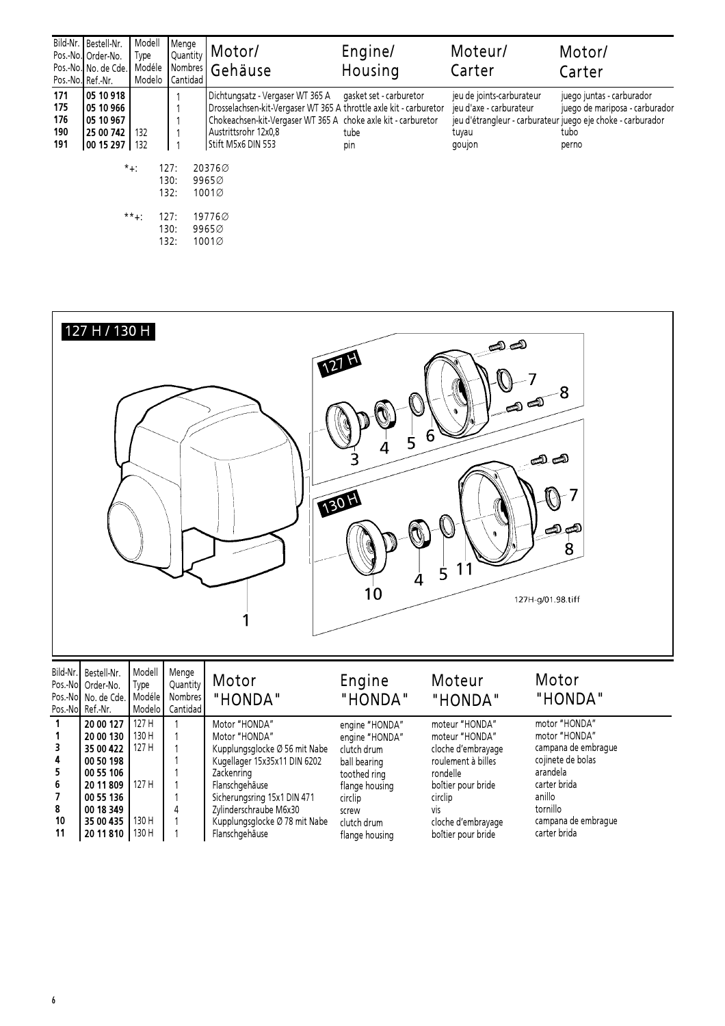|                                 | Bild-Nr.   Bestell-Nr.<br>Pos.-No. Order-No.<br>Pos.-No. No. de Cde.<br>Pos.-No. Ref.-Nr. | Modell<br>Type<br>Modéle<br>Modelo | Menge<br>Quantity<br>Cantidad                | Motor/<br>Nombres Gehäuse                                                                                                                                                                                                                                                                             | Engine/<br>Housing | Moteur/<br>Carter                                                       | Motor/<br>Carter                                                                                                                            |
|---------------------------------|-------------------------------------------------------------------------------------------|------------------------------------|----------------------------------------------|-------------------------------------------------------------------------------------------------------------------------------------------------------------------------------------------------------------------------------------------------------------------------------------------------------|--------------------|-------------------------------------------------------------------------|---------------------------------------------------------------------------------------------------------------------------------------------|
| 171<br>175<br>176<br>190<br>191 | 105 10 918<br>  05 10 966<br>105 10 967<br>125 00 742<br>  00 15 297   132                | 132<br>$*+$ :<br>$***+$            | 127:<br>130:<br>132:<br>127:<br>130:<br>132: | Dichtungsatz - Vergaser WT 365 A gasket set - carburetor<br>Drosselachsen-kit-Vergaser WT 365 A throttle axle kit - carburetor<br>Chokeachsen-kit-Vergaser WT 365 A choke axle kit - carburetor<br>Austrittsrohr 12x0,8<br>Stift M5x6 DIN 553<br>203760<br>99650<br>1001Ø<br>19776Ø<br>9965Ø<br>1001Ø | tube<br>pin        | jeu de joints-carburateur<br>jeu d'axe - carburateur<br>tuyau<br>goujon | juego juntas - carburador<br>juego de mariposa - carburador<br>jeu d'étrangleur - carburateur juego eje choke - carburador<br>tubo<br>perno |

|                                  | 127 H / 130 H                                                |                                    |                                          |                                | 12TH<br>5<br>130H<br>4<br>10  | <u>ො යො</u><br>6<br>1<br>5       | -8<br>$\text{e}^{\text{e}^{\text{e}}\text{e}^{\text{e}^{\text{e}}\text{e}^{\text{e}}\text{e}^{\text{e}}\text{e}^{\text{e}}\text{e}^{\text{e}}\text{e}^{\text{e}}\text{e}^{\text{e}}\text{e}^{\text{e}}\text{e}^{\text{e}}\text{e}^{\text{e}}\text{e}^{\text{e}}\text{e}^{\text{e}}\text{e}^{\text{e}}\text{e}^{\text{e}}\text{e}^{\text{e}}\text{e}^{\text{e}}\text{e}^{\text{e}}\text{e}^{\text{e$<br>ہے کے<br>8<br>127H-g/01.98.tiff |
|----------------------------------|--------------------------------------------------------------|------------------------------------|------------------------------------------|--------------------------------|-------------------------------|----------------------------------|----------------------------------------------------------------------------------------------------------------------------------------------------------------------------------------------------------------------------------------------------------------------------------------------------------------------------------------------------------------------------------------------------------------------------------------|
| Bild-Nr.<br>Pos.-No.<br>Pos.-No. | Bestell-Nr.<br>Pos.-Nol Order-No.<br>No. de Cde.<br>Ref.-Nr. | Modell<br>Type<br>Modéle<br>Modelo | Menge<br>Quantity<br>Nombres<br>Cantidad | Motor<br>"HONDA"               | Engine<br>"HONDA"             | Moteur<br>"HONDA"                | Motor<br>"HONDA"                                                                                                                                                                                                                                                                                                                                                                                                                       |
| 1<br>1                           | 20 00 127<br>20 00 130                                       | 127 H<br>130 H                     | 1                                        | Motor "HONDA"<br>Motor "HONDA" | engine "HONDA"                | moteur "HONDA"<br>moteur "HONDA" | motor "HONDA"<br>motor "HONDA"                                                                                                                                                                                                                                                                                                                                                                                                         |
| 3                                | 35 00 422                                                    | 127 H                              |                                          | Kupplungsglocke Ø 56 mit Nabe  | engine "HONDA"<br>clutch drum | cloche d'embrayage               | campana de embrague                                                                                                                                                                                                                                                                                                                                                                                                                    |
| 4                                | 00 50 198                                                    |                                    |                                          | Kugellager 15x35x11 DIN 6202   | ball bearing                  | roulement à billes               | cojinete de bolas                                                                                                                                                                                                                                                                                                                                                                                                                      |
| 5                                | 00 55 106                                                    |                                    |                                          | Zackenring                     | toothed ring                  | rondelle                         | arandela                                                                                                                                                                                                                                                                                                                                                                                                                               |
| 6                                | 20 11 809                                                    | 127 H                              |                                          | Flanschgehäuse                 | flange housing                | boîtier pour bride               | carter brida                                                                                                                                                                                                                                                                                                                                                                                                                           |
| $\overline{\phantom{a}}$         | 00 55 136                                                    |                                    |                                          | Sicherungsring 15x1 DIN 471    | circlip                       | circlip                          | anillo                                                                                                                                                                                                                                                                                                                                                                                                                                 |
| 8                                | 00 18 349                                                    |                                    |                                          | Zylinderschraube M6x30         | screw                         | vis                              | tornillo                                                                                                                                                                                                                                                                                                                                                                                                                               |
| 10<br>11                         | 35 00 435                                                    | 130 H                              |                                          | Kupplungsglocke Ø 78 mit Nabe  | clutch drum                   | cloche d'embrayage               | campana de embrague<br>carter brida                                                                                                                                                                                                                                                                                                                                                                                                    |
|                                  | 20 11 810                                                    | 130 H                              |                                          | Flanschgehäuse                 | flange housing                | boîtier pour bride               |                                                                                                                                                                                                                                                                                                                                                                                                                                        |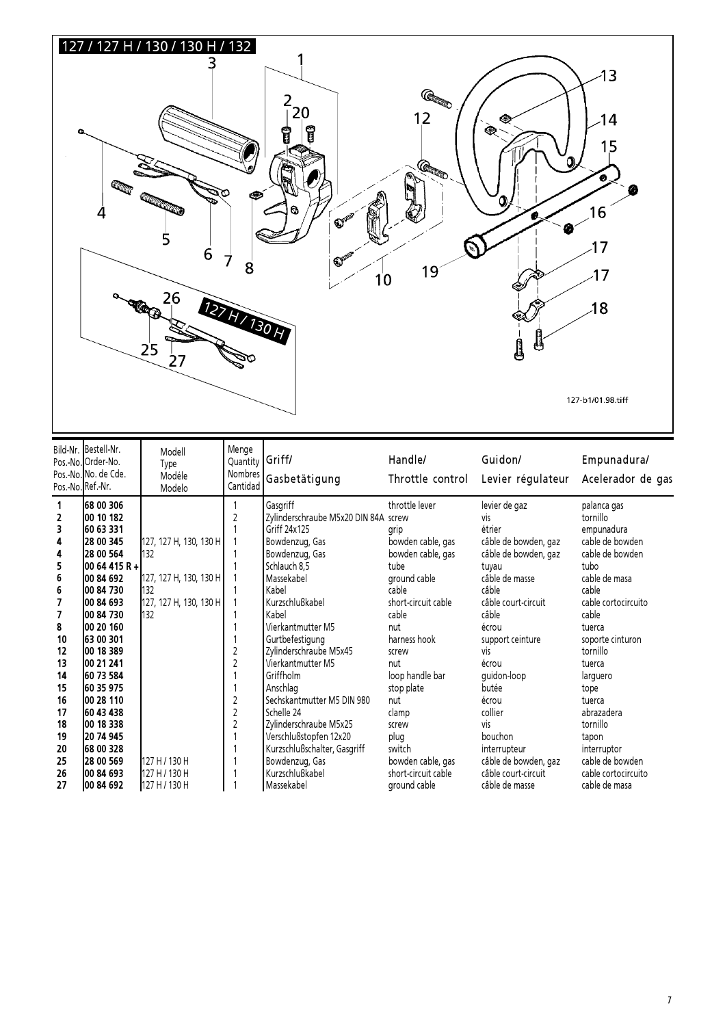

|    | Bild-Nr. Bestell-Nr.<br>Pos.-No. Order-No.<br>Pos.-No. No. de Cde.<br>Pos.-No.Ref.-Nr. | Modell<br>Type<br>Modéle<br>Modelo | Menge<br>Quantity<br>Cantidad | Griff/<br>Nombres Gasbetätigung      | Handle/<br>Throttle control | Guidon/<br>Levier régulateur | Empunadura/<br>Acelerador de gas |
|----|----------------------------------------------------------------------------------------|------------------------------------|-------------------------------|--------------------------------------|-----------------------------|------------------------------|----------------------------------|
|    | 68 00 306                                                                              |                                    |                               | Gasgriff                             | throttle lever              | levier de gaz                | palanca gas                      |
| 2  | 00 10 182                                                                              |                                    |                               | Zylinderschraube M5x20 DIN 84A screw |                             | vis                          | tornillo                         |
| 3  | 60 63 331                                                                              |                                    |                               | Griff 24x125                         | grip                        | étrier                       | empunadura                       |
| 4  | 28 00 345                                                                              | 127, 127 H, 130, 130 H             |                               | Bowdenzug, Gas                       | bowden cable, gas           | câble de bowden, gaz         | cable de bowden                  |
| 4  | 128 00 564                                                                             | 132                                |                               | Bowdenzug, Gas                       | bowden cable, gas           | câble de bowden, gaz         | cable de bowden                  |
| 5  | l00 64 415 R +l                                                                        |                                    |                               | Schlauch 8,5                         | tube                        | tuyau                        | tubo                             |
| 6  | 00 84 692                                                                              | 127, 127 H, 130, 130 H             |                               | Massekabel                           | ground cable                | câble de masse               | cable de masa                    |
| 6  | 100 84 730                                                                             | 132                                |                               | Kabel                                | cable                       | câble                        | cable                            |
| 7  | 100 84 693                                                                             | 127, 127 H, 130, 130 H             |                               | Kurzschlußkabel                      | short-circuit cable         | câble court-circuit          | cable cortocircuito              |
| 7  | 00 84 730                                                                              | 132                                |                               | Kabel                                | cable                       | câble                        | cable                            |
| 8  | 100 20 160                                                                             |                                    |                               | Vierkantmutter M5                    | nut                         | écrou                        | tuerca                           |
| 10 | 63 00 301                                                                              |                                    |                               | Gurtbefestigung                      | harness hook                | support ceinture             | soporte cinturon                 |
| 12 | 00 18 389                                                                              |                                    | $\overline{c}$                | Zylinderschraube M5x45               | screw                       | vis                          | tornillo                         |
| 13 | 100 21 241                                                                             |                                    |                               | Vierkantmutter M5                    | nut                         | écrou                        | tuerca                           |
| 14 | 60 73 584                                                                              |                                    |                               | Griffholm                            | loop handle bar             | quidon-loop                  | larguero                         |
| 15 | 160 35 975                                                                             |                                    |                               | Anschlag                             | stop plate                  | butée                        | tope                             |
| 16 | 100 28 110                                                                             |                                    | $\overline{2}$                | Sechskantmutter M5 DIN 980           | nut                         | écrou                        | tuerca                           |
| 17 | 60 43 438                                                                              |                                    | $\overline{c}$                | Schelle 24                           | clamp                       | collier                      | abrazadera                       |
| 18 | 00 18 338                                                                              |                                    | 2                             | Zylinderschraube M5x25               | screw                       | vis                          | tornillo                         |
| 19 | 20 74 945                                                                              |                                    |                               | Verschlußstopfen 12x20               | plug                        | bouchon                      | tapon                            |
| 20 | 68 00 328                                                                              |                                    |                               | Kurzschlußschalter, Gasgriff         | switch                      | interrupteur                 | interruptor                      |
| 25 | 128 00 569                                                                             | 127 H / 130 H                      |                               | Bowdenzug, Gas                       | bowden cable, gas           | câble de bowden, gaz         | cable de bowden                  |
| 26 | 00 84 693                                                                              | 127 H / 130 H                      |                               | Kurzschlußkabel                      | short-circuit cable         | câble court-circuit          | cable cortocircuito              |
| 27 | 00 84 692                                                                              | 127 H / 130 H                      |                               | Massekabel                           | ground cable                | câble de masse               | cable de masa                    |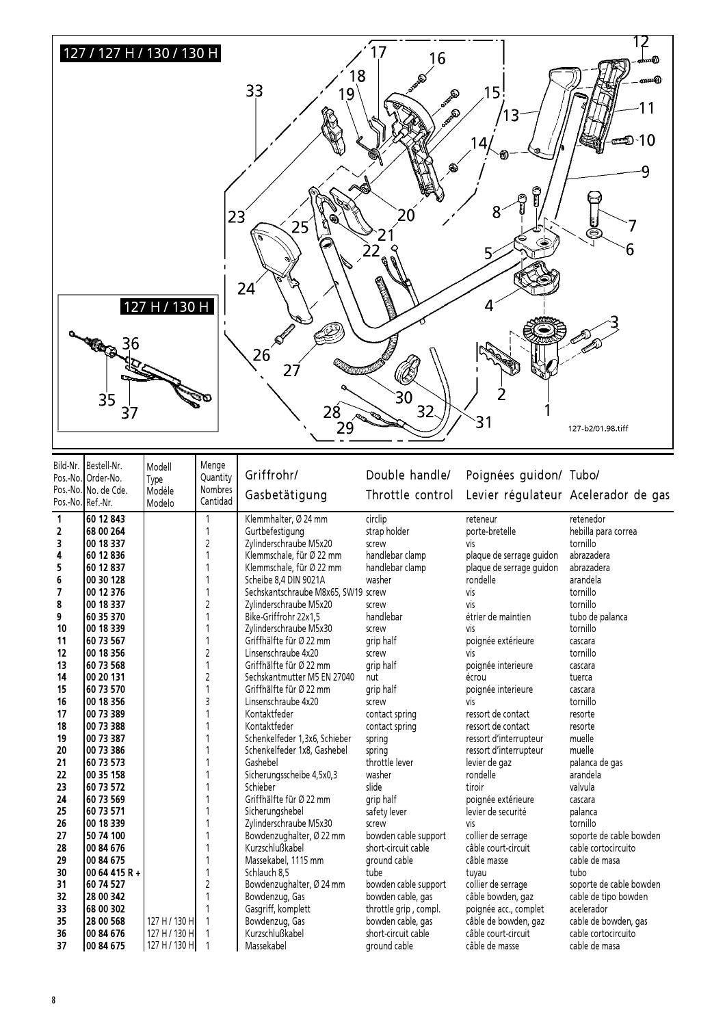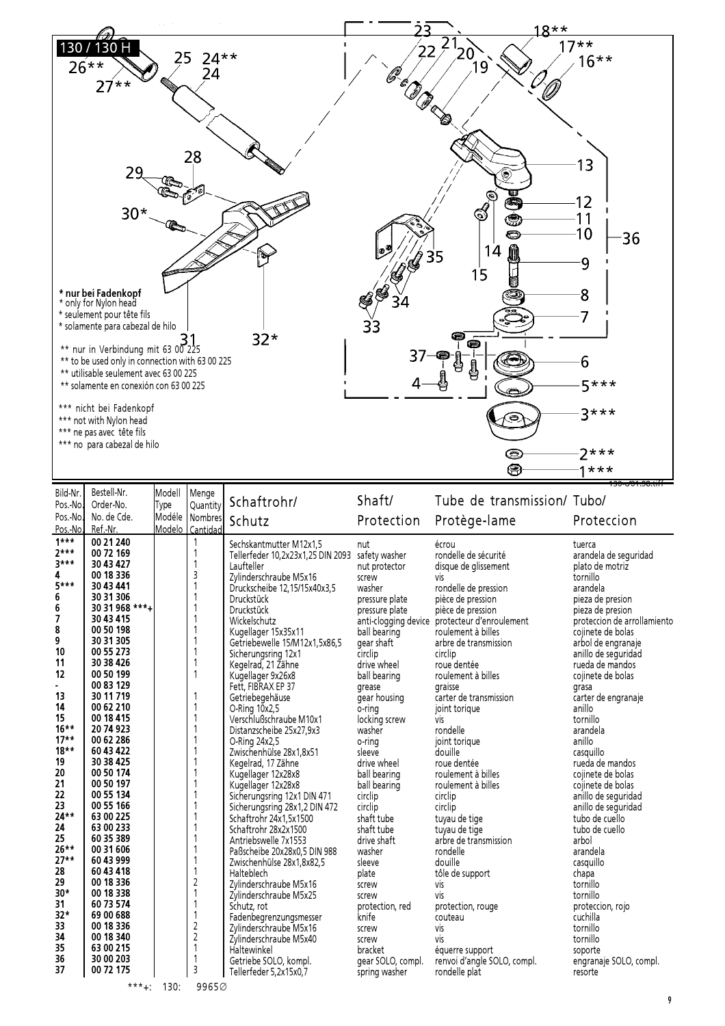

| Bild-Nr. | Bestell-Nr.    | Modell | Menge          |                                   | Shaft/               | Tube de transmission/ Tubo/ |                             |
|----------|----------------|--------|----------------|-----------------------------------|----------------------|-----------------------------|-----------------------------|
| Pos.-No. | Order-No.      | Type   | Quantity       | Schaftrohr/                       |                      |                             |                             |
| Pos.-No. | No. de Cde.    |        | Modéle Nombres | Schutz                            | Protection           | Protège-lame                | Proteccion                  |
| Pos.-No. | Ref.-Nr.       | Modelo | Cantidad       |                                   |                      |                             |                             |
| $1***$   | 00 21 240      |        | 1              | Sechskantmutter M12x1,5           | nut                  | écrou                       | tuerca                      |
| $2***$   | 00 72 169      |        | 1              | Tellerfeder 10,2x23x1,25 DIN 2093 | safety washer        | rondelle de sécurité        | arandela de seguridad       |
| $3***$   | 30 43 427      |        | 1              | Laufteller                        | nut protector        | disque de glissement        | plato de motriz             |
| 4        | 00 18 336      |        | 3              | Zylinderschraube M5x16            | screw                | vis                         | tornillo                    |
| $5***$   | 30 43 441      |        | 1              | Druckscheibe 12,15/15x40x3,5      | washer               | rondelle de pression        | arandela                    |
| 6        | 30 31 306      |        |                | <b>Druckstück</b>                 | pressure plate       | pièce de pression           | pieza de presion            |
| 6        | 30 31 968 ***+ |        | 1              | <b>Druckstück</b>                 | pressure plate       | pièce de pression           | pieza de presion            |
| 7        | 30 43 415      |        |                | Wickelschutz                      | anti-clogging device | protecteur d'enroulement    | proteccion de arrollamiento |
| 8        | 00 50 198      |        |                | Kugellager 15x35x11               | ball bearing         | roulement à billes          | cojinete de bolas           |
| 9        | 30 31 305      |        | 1              | Getriebewelle 15/M12x1,5x86,5     | gear shaft           | arbre de transmission       | arbol de engranaje          |
| 10       | 00 55 273      |        |                | Sicherungsring 12x1               | circlip              | circlip                     | anillo de seguridad         |
| 11       | 30 38 426      |        |                | Kegelrad, 21 Zähne                | drive wheel          | roue dentée                 | rueda de mandos             |
| 12       | 00 50 199      |        | $\mathbf{1}$   | Kugellager 9x26x8                 | ball bearing         | roulement à billes          | cojinete de bolas           |
|          | 00 83 129      |        |                | Fett, FIBRAX EP 37                | grease               | graisse                     | grasa                       |
| 13       | 30 11 719      |        |                | Getriebegehäuse                   | gear housing         | carter de transmission      | carter de engranaje         |
| 14       | 00 62 210      |        |                | O-Ring 10x2,5                     | o-ring               | joint torique               | anillo                      |
| 15       | 00 18 415      |        |                | Verschlußschraube M10x1           | locking screw        | <b>VİS</b>                  | tornillo                    |
| $16***$  | 20 74 923      |        |                | Distanzscheibe 25x27,9x3          | washer               | rondelle                    | arandela                    |
| $17**$   | 00 62 286      |        |                | O-Ring 24x2,5                     | o-ring               | joint torique               | anillo                      |
| $18**$   | 60 43 422      |        |                | Zwischenhülse 28x1,8x51           | sleeve               | douille                     | casquillo                   |
| 19       | 30 38 425      |        |                | Kegelrad, 17 Zähne                | drive wheel          | roue dentée                 | rueda de mandos             |
| 20       | 00 50 174      |        |                | Kugellager 12x28x8                | ball bearing         | roulement à billes          | cojinete de bolas           |
| 21       | 00 50 197      |        |                | Kugellager 12x28x8                | ball bearing         | roulement à billes          | cojinete de bolas           |
| 22       | 00 55 134      |        |                | Sicherungsring 12x1 DIN 471       | circlip              | circlip                     | anillo de seguridad         |
| 23       | 00 55 166      |        |                | Sicherungsring 28x1,2 DIN 472     | circlip              | circlip                     | anillo de seguridad         |
| 24**     | 63 00 225      |        |                | Schaftrohr 24x1,5x1500            | shaft tube           | tuyau de tige               | tubo de cuello              |
| 24       | 63 00 233      |        | 1              | Schaftrohr 28x2x1500              | shaft tube           | tuyau de tige               | tubo de cuello              |
| 25       | 60 35 389      |        | 1              | Antriebswelle 7x1553              | drive shaft          | arbre de transmission       | arbol                       |
| 26**     | 00 31 606      |        |                | Paßscheibe 20x28x0,5 DIN 988      | washer               | rondelle                    | arandela                    |
| $27**$   | 60 43 999      |        | 1              | Zwischenhülse 28x1,8x82,5         | sleeve               | douille                     | casquillo                   |
| 28       | 60 43 418      |        | 1              | Halteblech                        | plate                | tôle de support             | chapa                       |
| 29       | 00 18 336      |        | 2              | Zylinderschraube M5x16            | screw                | vis                         | tornillo                    |
| $30*$    | 00 18 338      |        | 1              | Zylinderschraube M5x25            | screw                | <b>VİS</b>                  | tornillo                    |
| 31       | 60 73 574      |        | 1              | Schutz, rot                       | protection, red      | protection, rouge           | proteccion, rojo            |
| $32*$    | 69 00 688      |        | $\mathbf{1}$   | Fadenbegrenzungsmesser            | knife                | couteau                     | cuchilla                    |
| 33       | 00 18 336      |        | $\sqrt{2}$     | Zylinderschraube M5x16            | screw                | vis                         | tornillo                    |
| 34       | 00 18 340      |        | $\sqrt{2}$     | Zylinderschraube M5x40            | screw                | vis                         | tornillo                    |
| 35       | 63 00 215      |        | 1              | Haltewinkel                       | bracket              | équerre support             | soporte                     |
| 36       | 30 00 203      |        | 1              | Getriebe SOLO, kompl.             | gear SOLO, compl.    | renvoi d'angle SOLO, compl. | engranaje SOLO, compl.      |
| 37       | 00 72 175      |        | 3              | Tellerfeder 5,2x15x0,7            | spring washer        | rondelle plat               | resorte                     |
|          |                | $***.$ | 00050          |                                   |                      |                             |                             |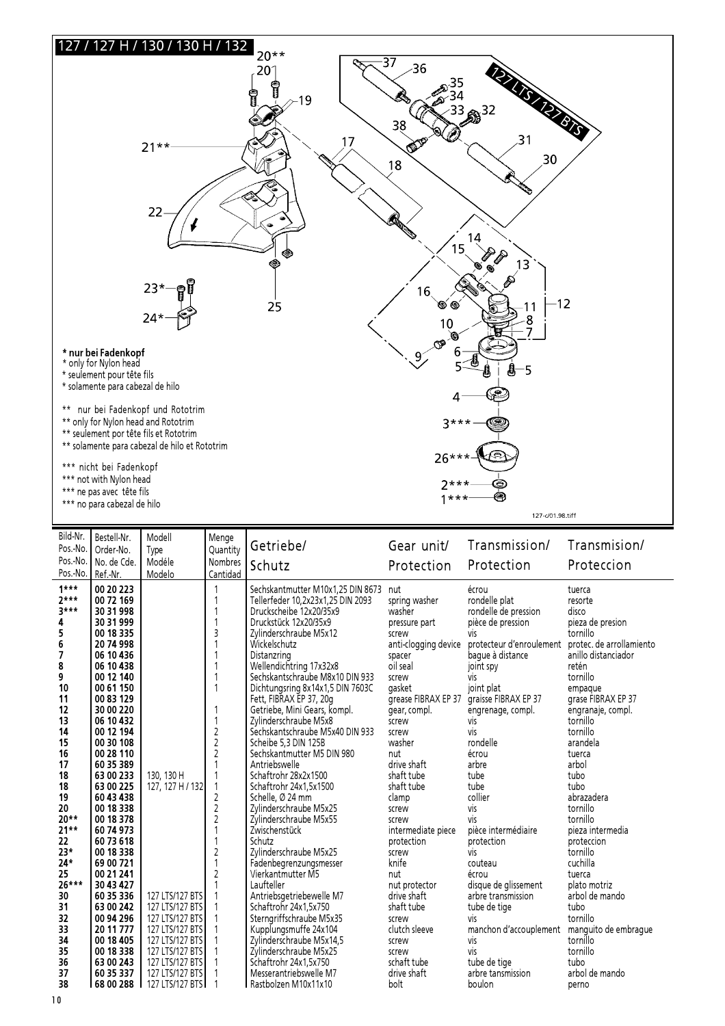

| Bild-Nr.<br>Pos.-No.<br>Pos.-No.<br>Pos.-No. | Bestell-Nr.<br>Order-No.<br>No. de Cde.<br>Ref.-Nr. | Modell<br>Type<br>Modéle<br>Modelo | Menge<br>Ouantity<br><b>Nombres</b><br>Cantidad | Getriebe/<br>Schutz                                                                               | Gear unit/<br>Protection       | Transmission/<br>Protection                    | Transmision/<br>Proteccion |
|----------------------------------------------|-----------------------------------------------------|------------------------------------|-------------------------------------------------|---------------------------------------------------------------------------------------------------|--------------------------------|------------------------------------------------|----------------------------|
| $1***$<br>$2***$<br>$3***$                   | 00 20 223<br>00 72 169<br>30 31 998                 |                                    |                                                 | Sechskantmutter M10x1,25 DIN 8673<br>Tellerfeder 10,2x23x1,25 DIN 2093<br>Druckscheibe 12x20/35x9 | nut<br>spring washer<br>washer | écrou<br>rondelle plat<br>rondelle de pression | tuerca<br>resorte<br>disco |
| 4                                            | 30 31 999                                           |                                    |                                                 | Druckstück 12x20/35x9                                                                             | pressure part                  | pièce de pression                              | pieza de presion           |
| 5                                            | 00 18 335                                           |                                    | 3                                               | Zylinderschraube M5x12                                                                            | screw                          | νiς                                            | tornillo                   |
| 6                                            | 20 74 998                                           |                                    |                                                 | Wickelschutz                                                                                      | anti-clogging device           | protecteur d'enroulement                       | protec, de arrollamiento   |
| 7                                            | 06 10 436                                           |                                    |                                                 | Distanzring                                                                                       | spacer                         | baque à distance                               | anillo distanciador        |
| 8                                            | 06 10 438                                           |                                    |                                                 | Wellendichtring 17x32x8                                                                           | oil seal                       | joint spy                                      | retén                      |
| 9                                            | 00 12 140                                           |                                    |                                                 | Sechskantschraube M8x10 DIN 933                                                                   | screw                          | vis                                            | tornillo                   |
| 10                                           | 00 61 150                                           |                                    | 1                                               | Dichtungsring 8x14x1,5 DIN 7603C                                                                  | gasket                         | joint plat                                     | empaque                    |
| 11                                           | 00 83 129                                           |                                    |                                                 | Fett, FIBRAX EP 37, 20g                                                                           | grease FIBRAX EP 37            | graisse FIBRAX EP 37                           | grase FIBRAX EP 37         |
| 12                                           | 30 00 220                                           |                                    | 1                                               | Getriebe, Mini Gears, kompl.                                                                      | gear, compl.                   | engrenage, compl.                              | engranaje, compl.          |
| 13                                           | 06 10 432                                           |                                    | $\overline{1}$                                  | Zylinderschraube M5x8                                                                             | screw                          | <b>vis</b>                                     | tornillo                   |
| 14                                           | 00 12 194                                           |                                    | $\sqrt{2}$                                      | Sechskantschraube M5x40 DIN 933                                                                   | screw                          | vis                                            | tornillo                   |
| 15                                           | 00 30 108                                           |                                    | $\overline{c}$                                  | Scheibe 5,3 DIN 125B                                                                              | washer                         | rondelle                                       | arandela                   |
| 16                                           | 00 28 110                                           |                                    | $\overline{c}$                                  | Sechskantmutter M5 DIN 980                                                                        | nut                            | écrou                                          | tuerca                     |
| 17                                           | 60 35 389                                           |                                    | 1                                               | Antriebswelle                                                                                     | drive shaft                    | arbre                                          | arbol                      |
| 18                                           | 63 00 233                                           | 130, 130 H                         |                                                 | Schaftrohr 28x2x1500                                                                              | shaft tube                     | tube                                           | tubo                       |
| 18                                           | 63 00 225                                           | 127, 127 H / 132                   | $\mathbf{1}$                                    | Schaftrohr 24x1,5x1500                                                                            | shaft tube                     | tube                                           | tubo                       |
| 19                                           | 60 43 438                                           |                                    | $\overline{c}$                                  | Schelle, Ø 24 mm                                                                                  | clamp                          | collier                                        | abrazadera                 |
| 20                                           | 00 18 338                                           |                                    | $\overline{2}$                                  | Zylinderschraube M5x25                                                                            | screw                          | vis                                            | tornillo                   |
| $20**$                                       | 00 18 378                                           |                                    | $\overline{2}$                                  | Zylinderschraube M5x55                                                                            | screw                          | vis                                            | tornillo                   |
| $21**$                                       | 60 74 973                                           |                                    | 1                                               | Zwischenstück                                                                                     | intermediate piece             | pièce intermédiaire                            | pieza intermedia           |
| 22                                           | 60 73 618                                           |                                    |                                                 | Schutz                                                                                            | protection                     | protection                                     | proteccion                 |
| $23*$                                        | 00 18 338                                           |                                    | $\overline{c}$                                  | Zvlinderschraube M5x25                                                                            | screw                          | vis                                            | tornillo                   |
| $24*$                                        | 69 00 721                                           |                                    | 1                                               | Fadenbegrenzungsmesser                                                                            | knife                          | couteau                                        | cuchilla                   |
| 25                                           | 00 21 241                                           |                                    | $\overline{2}$                                  | Vierkantmutter M5                                                                                 | nut                            | écrou                                          | tuerca                     |
| $26***$                                      | 30 43 427                                           |                                    |                                                 | Laufteller                                                                                        | nut protector                  | disque de glissement                           | plato motriz               |
| 30                                           | 60 35 336                                           | 127 LTS/127 BTS                    |                                                 | Antriebsgetriebewelle M7                                                                          | drive shaft                    | arbre transmission                             | arbol de mando             |
| 31                                           | 63 00 242                                           | 127 LTS/127 BTS                    |                                                 | Schaftrohr 24x1.5x750                                                                             | shaft tube                     | tube de tige                                   | tubo                       |
| 32                                           | 00 94 296                                           | 127 LTS/127 BTS                    |                                                 | Sterngriffschraube M5x35                                                                          | screw                          | <b>VİS</b>                                     | tornillo                   |
| 33                                           | 20 11 777                                           | 127 LTS/127 BTS                    |                                                 | Kupplungsmuffe 24x104                                                                             | clutch sleeve                  | manchon d'accouplement manguito de embrague    |                            |
| 34                                           | 00 18 405                                           | 127 LTS/127 BTS                    |                                                 | Zylinderschraube M5x14,5                                                                          | screw                          | vis                                            | tornillo                   |
| 35                                           | 00 18 338                                           | 127 LTS/127 BTS                    |                                                 | Zylinderschraube M5x25                                                                            | screw                          | vis                                            | tornillo                   |
| 36                                           | 63 00 243                                           | 127 LTS/127 BTS                    |                                                 | Schaftrohr 24x1,5x750                                                                             | schaft tube                    | tube de tige                                   | tubo                       |
| 37                                           | 60 35 337                                           | 127 LTS/127 BTS                    |                                                 | Messerantriebswelle M7                                                                            | drive shaft                    | arbre tansmission                              | arbol de mando             |
| 38                                           | 68 00 288                                           | 127 LTS/127 BTS                    |                                                 | l Rastbolzen M10x11x10                                                                            | bolt                           | boulon                                         | perno                      |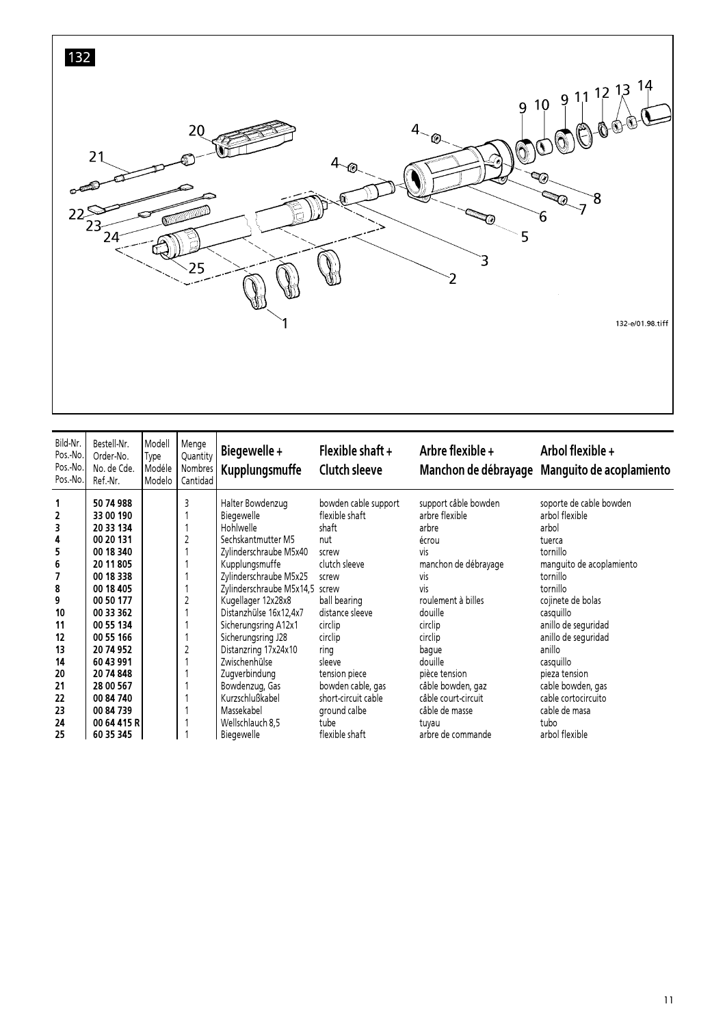

| Bild-Nr.<br>Pos.-No.<br>Pos.-No.<br>Pos.-No.                                                             | Bestell-Nr.<br>Order-No.<br>No. de Cde.<br>Ref.-Nr.                                                                                                                                                                       | Modell<br>Type<br>Modéle<br><b>M</b> odelo | Menge<br>Quantity<br>Nombres<br>Cantidad | Biegewelle+<br>Kupplungsmuffe                                                                                                                                                                                                                                                                                                                                          | Flexible shaft $+$<br><b>Clutch sleeve</b>                                                                                                                                                                                        | Arbre flexible $+$                                                                                                                                                                                                                                   | Arbol flexible +<br>Manchon de débrayage Manguito de acoplamiento                                                                                                                                                                                                                                |
|----------------------------------------------------------------------------------------------------------|---------------------------------------------------------------------------------------------------------------------------------------------------------------------------------------------------------------------------|--------------------------------------------|------------------------------------------|------------------------------------------------------------------------------------------------------------------------------------------------------------------------------------------------------------------------------------------------------------------------------------------------------------------------------------------------------------------------|-----------------------------------------------------------------------------------------------------------------------------------------------------------------------------------------------------------------------------------|------------------------------------------------------------------------------------------------------------------------------------------------------------------------------------------------------------------------------------------------------|--------------------------------------------------------------------------------------------------------------------------------------------------------------------------------------------------------------------------------------------------------------------------------------------------|
| 1<br>2<br>3<br>4<br>5<br>$\boldsymbol{6}$<br>7<br>8<br>9<br>10<br>11<br>12<br>13<br>14<br>20<br>21<br>22 | 50 74 988<br>33 00 190<br>20 33 134<br>00 20 131<br>00 18 340<br>20 11 805<br>00 18 338<br>00 18 405<br>00 50 177<br>00 33 362<br>00 55 134<br>00 55 166<br>20 74 952<br>60 43 991<br>20 74 848<br>28 00 567<br>00 84 740 |                                            | 3<br>$\overline{c}$<br>$\overline{c}$    | Halter Bowdenzug<br>Biegewelle<br>Hohlwelle<br>Sechskantmutter M5<br>Zylinderschraube M5x40<br>Kupplungsmuffe<br>Zylinderschraube M5x25<br>Zylinderschraube M5x14,5 screw<br>Kugellager 12x28x8<br>Distanzhülse 16x12,4x7<br>Sicherungsring A12x1<br>Sicherungsring J28<br>Distanzring 17x24x10<br>Zwischenhülse<br>Zugverbindung<br>Bowdenzug, Gas<br>Kurzschlußkabel | bowden cable support<br>flexible shaft<br>shaft<br>nut<br>screw<br>clutch sleeve<br>screw<br>ball bearing<br>distance sleeve<br>circlip<br>circlip<br>ring<br>sleeve<br>tension piece<br>bowden cable, gas<br>short-circuit cable | support câble bowden<br>arbre flexible<br>arbre<br>écrou<br>vis<br>manchon de débrayage<br><b>VİS</b><br>vis<br>roulement à billes<br>douille<br>circlip<br>circlip<br>bague<br>douille<br>pièce tension<br>câble bowden, gaz<br>câble court-circuit | soporte de cable bowden<br>arbol flexible<br>arbol<br>tuerca<br>tornillo<br>manguito de acoplamiento<br>tornillo<br>tornillo<br>cojinete de bolas<br>casquillo<br>anillo de seguridad<br>anillo de seguridad<br>anillo<br>casquillo<br>pieza tension<br>cable bowden, gas<br>cable cortocircuito |
| 23<br>24<br>25                                                                                           | 00 84 739<br>00 64 415 R<br>60 35 345                                                                                                                                                                                     |                                            |                                          | Massekabel<br>Wellschlauch 8,5<br>Biegewelle                                                                                                                                                                                                                                                                                                                           | ground calbe<br>tube<br>flexible shaft                                                                                                                                                                                            | câble de masse<br>tuvau<br>arbre de commande                                                                                                                                                                                                         | cable de masa<br>tubo<br>arbol flexible                                                                                                                                                                                                                                                          |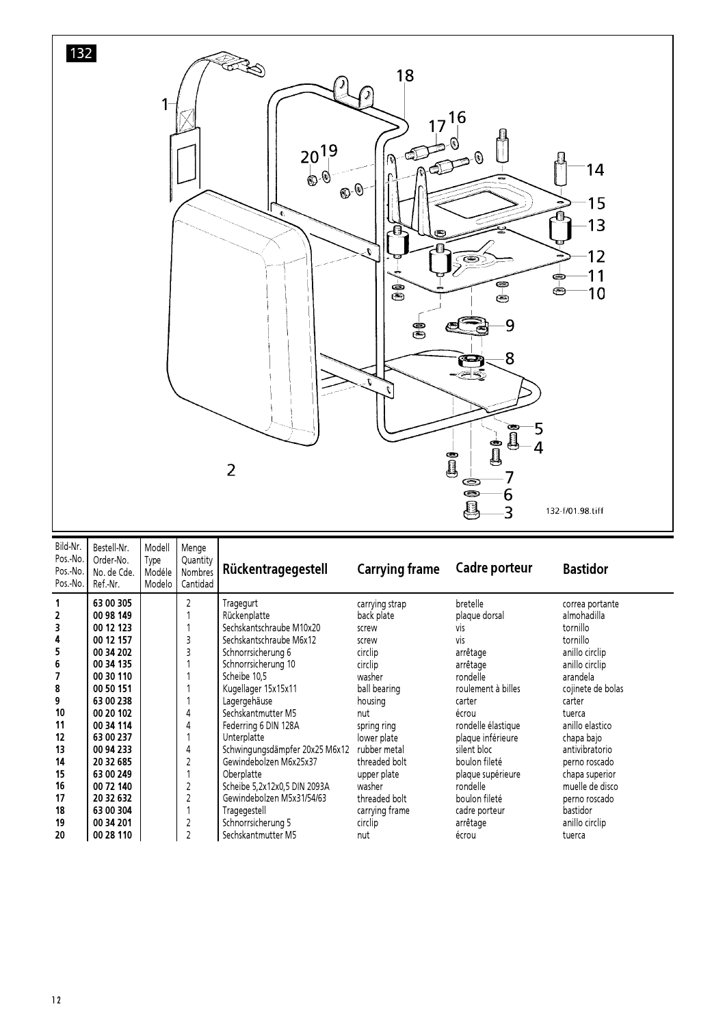

| Bild-Nr.<br>Pos.-No.<br>Pos.-No.<br>Pos.-No. | Bestell-Nr.<br>Order-No.<br>No. de Cde.<br>Ref.-Nr. | Modell<br>Type<br>Modéle<br>Modelo | Menge<br>Quantity<br>Nombres<br>Cantidad | Rückentragegestell             | <b>Carrying frame</b> | Cadre porteur      | <b>Bastidor</b>   |
|----------------------------------------------|-----------------------------------------------------|------------------------------------|------------------------------------------|--------------------------------|-----------------------|--------------------|-------------------|
| 1                                            | 63 00 305                                           |                                    | 2                                        | Tragegurt                      | carrying strap        | bretelle           | correa portante   |
| 2                                            | 00 98 149                                           |                                    |                                          | Rückenplatte                   | back plate            | plaque dorsal      | almohadilla       |
| 3                                            | 00 12 123                                           |                                    |                                          | Sechskantschraube M10x20       | screw                 | <b>VIS</b>         | tornillo          |
| 4                                            | 00 12 157                                           |                                    | 3                                        | Sechskantschraube M6x12        | screw                 | vis                | tornillo          |
| 5                                            | 00 34 202                                           |                                    |                                          | Schnorrsicherung 6             | circlip               | arrêtage           | anillo circlip    |
| 6                                            | 00 34 135                                           |                                    |                                          | Schnorrsicherung 10            | circlip               | arrêtage           | anillo circlip    |
| 7                                            | 00 30 110                                           |                                    |                                          | Scheibe 10.5                   | washer                | rondelle           | arandela          |
| 8                                            | 00 50 151                                           |                                    |                                          | Kugellager 15x15x11            | ball bearing          | roulement à billes | cojinete de bolas |
| 9                                            | 63 00 238                                           |                                    |                                          | Lagergehäuse                   | housing               | carter             | carter            |
| 10                                           | 00 20 102                                           |                                    | 4                                        | Sechskantmutter M5             | nut                   | écrou              | tuerca            |
| 11                                           | 00 34 114                                           |                                    | 4                                        | Federring 6 DIN 128A           | spring ring           | rondelle élastique | anillo elastico   |
| 12                                           | 63 00 237                                           |                                    |                                          | Unterplatte                    | lower plate           | plaque inférieure  | chapa bajo        |
| 13                                           | 00 94 233                                           |                                    | 4                                        | Schwingungsdämpfer 20x25 M6x12 | rubber metal          | silent bloc        | antivibratorio    |
| 14                                           | 20 32 685                                           |                                    |                                          | Gewindebolzen M6x25x37         | threaded bolt         | boulon fileté      | perno roscado     |
| 15                                           | 63 00 249                                           |                                    |                                          | Oberplatte                     | upper plate           | plaque supérieure  | chapa superior    |
| 16                                           | 00 72 140                                           |                                    |                                          | Scheibe 5,2x12x0,5 DIN 2093A   | washer                | rondelle           | muelle de disco   |
| 17                                           | 20 32 632                                           |                                    | $\overline{2}$                           | Gewindebolzen M5x31/54/63      | threaded bolt         | boulon fileté      | perno roscado     |
| 18                                           | 63 00 304                                           |                                    |                                          | Tragegestell                   | carrying frame        | cadre porteur      | bastidor          |
| 19                                           | 00 34 201                                           |                                    | 2                                        | Schnorrsicherung 5             | circlip               | arrêtage           | anillo circlip    |
| 20                                           | 00 28 110                                           |                                    | $\overline{c}$                           | Sechskantmutter M5             | nut                   | écrou              | tuerca            |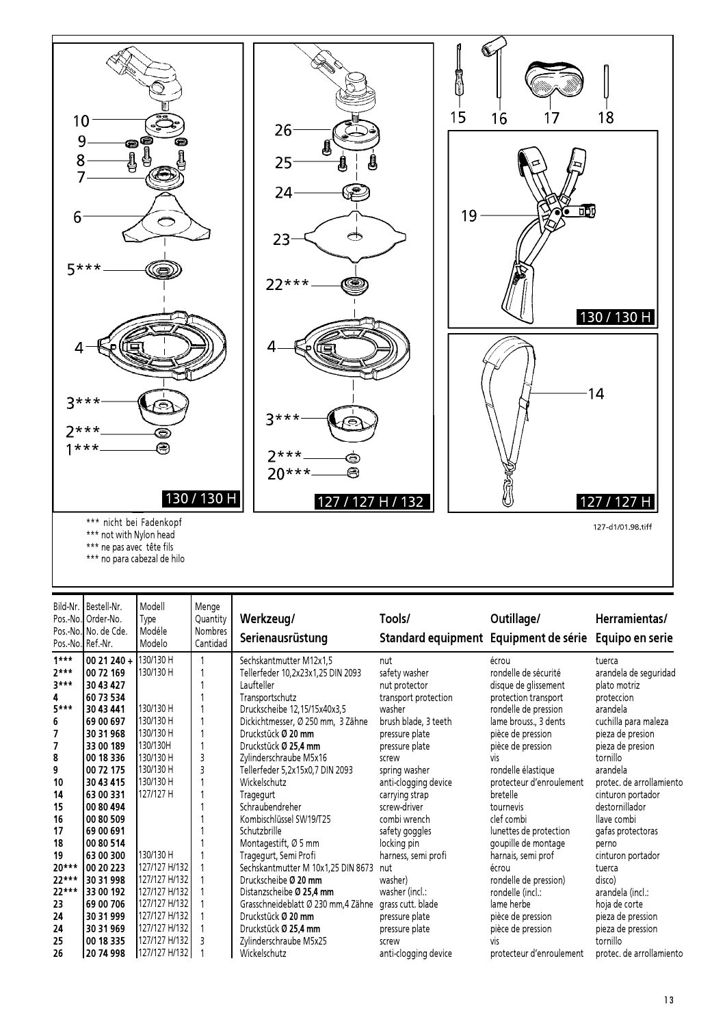

|  | *** no para cabezal de hilo |  |
|--|-----------------------------|--|
|  |                             |  |

| Bild-Nr.       | Bestell-Nr.<br>Pos.-No. Order-No.<br>Pos.-No. No. de Cde.<br>Pos.-No. Ref.-Nr. | Modell<br>Type<br>Modéle<br>Modelo | Menge<br>Quantity<br>Nombres<br>Cantidad | Werkzeug/<br>Serienausrüstung       | Tools/<br>Standard equipment Equipment de série | Outillage/               | Herramientas/<br>Equipo en serie |
|----------------|--------------------------------------------------------------------------------|------------------------------------|------------------------------------------|-------------------------------------|-------------------------------------------------|--------------------------|----------------------------------|
| $1***$         | $0021240 +$                                                                    | 130/130 H                          |                                          | Sechskantmutter M12x1,5             | nut                                             | écrou                    | tuerca                           |
| $7***$         | 00 72 169                                                                      | 130/130 H                          |                                          | Tellerfeder 10,2x23x1,25 DIN 2093   | safety washer                                   | rondelle de sécurité     | arandela de seguridad            |
| $3***$         | 30 43 427                                                                      |                                    |                                          | Laufteller                          | nut protector                                   | disque de glissement     | plato motriz                     |
| 4              | 60 73 534                                                                      |                                    |                                          | Transportschutz                     | transport protection                            | protection transport     | proteccion                       |
| $5***$         | 30 43 441                                                                      | 130/130 H                          |                                          | Druckscheibe 12, 15/15x40x3, 5      | washer                                          | rondelle de pression     | arandela                         |
| 6              | 69 00 697                                                                      | 130/130 H                          |                                          | Dickichtmesser, Ø 250 mm, 3 Zähne   | brush blade, 3 teeth                            | lame brouss., 3 dents    | cuchilla para maleza             |
| 7              | 30 31 968                                                                      | 130/130 H                          |                                          | Druckstück Ø 20 mm                  | pressure plate                                  | pièce de pression        | pieza de presion                 |
| $\overline{7}$ | 33 00 189                                                                      | 130/130H                           |                                          | Druckstück Ø 25,4 mm                | pressure plate                                  | pièce de pression        | pieza de presion                 |
| 8              | 00 18 336                                                                      | 130/130 H                          | 3                                        | Zylinderschraube M5x16              | screw                                           | vis                      | tornillo                         |
| 9              | 00 72 175                                                                      | 130/130 H                          | 3                                        | Tellerfeder 5,2x15x0,7 DIN 2093     | spring washer                                   | rondelle élastique       | arandela                         |
| 10             | 30 43 415                                                                      | 130/130 H                          |                                          | Wickelschutz                        | anti-clogging device                            | protecteur d'enroulement | protec. de arrollamiento         |
| 14             | 63 00 331                                                                      | 127/127 H                          |                                          | Tragegurt                           | carrying strap                                  | bretelle                 | cinturon portador                |
| 15             | 00 80 494                                                                      |                                    |                                          | Schraubendreher                     | screw-driver                                    | tournevis                | destornillador                   |
| 16             | 00 80 509                                                                      |                                    |                                          | Kombischlüssel SW19/T25             | combi wrench                                    | clef combi               | llave combi                      |
| 17             | 69 00 691                                                                      |                                    |                                          | Schutzbrille                        | safety goggles                                  | lunettes de protection   | gafas protectoras                |
| 18             | 00 80 514                                                                      |                                    |                                          | Montagestift, Ø 5 mm                | locking pin                                     | goupille de montage      | perno                            |
| 19             | 63 00 300                                                                      | 130/130 H                          |                                          | Tragegurt, Semi Profi               | harness, semi profi                             | harnais, semi prof       | cinturon portador                |
| $20***$        | 00 20 223                                                                      | 127/127 H/132                      |                                          | Sechskantmutter M 10x1,25 DIN 8673  | nut                                             | écrou                    | tuerca                           |
| $22***$        | 30 31 998                                                                      | 127/127 H/132                      |                                          | Druckscheibe Ø 20 mm                | washer)                                         | rondelle de pression)    | disco)                           |
| 22***          | 33 00 192                                                                      | 127/127 H/132                      |                                          | Distanzscheibe Ø 25.4 mm            | washer (incl.:                                  | rondelle (incl.:         | arandela (incl.:                 |
| 23             | 69 00 706                                                                      | 127/127 H/132                      |                                          | Grasschneideblatt Ø 230 mm, 4 Zähne | grass cutt, blade                               | lame herbe               | hoja de corte                    |
| 24             | 30 31 999                                                                      | 127/127 H/132                      |                                          | Druckstück Ø 20 mm                  | pressure plate                                  | pièce de pression        | pieza de pression                |
| 24             | 30 31 969                                                                      | 127/127 H/132                      |                                          | Druckstück Ø 25,4 mm                | pressure plate                                  | pièce de pression        | pieza de pression                |
| 25             | 00 18 335                                                                      | 127/127 H/132                      |                                          | Zylinderschraube M5x25              | screw                                           | viς                      | tornillo                         |
| 26             | 20 74 998                                                                      | 127/127 H/132                      |                                          | Wickelschutz                        | anti-clogging device                            | protecteur d'enroulement | protec, de arrollamiento         |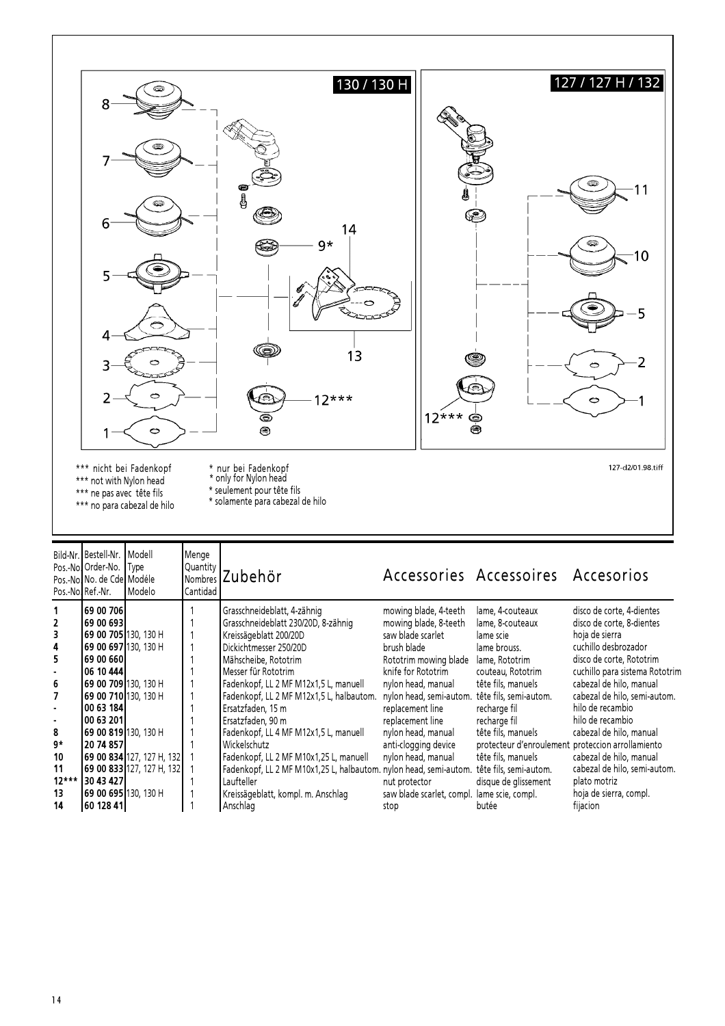

|         | Pos.-No. Order-No. Type<br>Pos.-No. No. de Cde Modéle<br>Pos.-No.Ref.-Nr. | Modelo                    | Quantity<br>l Cantidad | Nombres Zubehör                                                   |                           | Accessories Accessoires Accesorios                |                                |
|---------|---------------------------------------------------------------------------|---------------------------|------------------------|-------------------------------------------------------------------|---------------------------|---------------------------------------------------|--------------------------------|
|         | 169 00 7061                                                               |                           |                        | Grasschneideblatt, 4-zähnig                                       | mowing blade, 4-teeth     | lame, 4-couteaux                                  | disco de corte, 4-dientes      |
|         | l69 00 693l                                                               |                           |                        | Grasschneideblatt 230/20D, 8-zähnig                               | mowing blade, 8-teeth     | lame, 8-couteaux                                  | disco de corte, 8-dientes      |
|         | <b>169 00 705 1</b> 30. 130 H                                             |                           |                        | Kreissägeblatt 200/20D                                            | saw blade scarlet         | lame scie                                         | hoja de sierra                 |
| 4       | <b>169 00 6971</b> 130, 130 H                                             |                           |                        | Dickichtmesser 250/20D                                            | brush blade               | lame brouss.                                      | cuchillo desbrozador           |
|         | 69 00 660                                                                 |                           |                        | Mähscheibe, Rototrim                                              | Rototrim mowing blade     | lame, Rototrim                                    | disco de corte, Rototrim       |
|         | 06 10 444                                                                 |                           |                        | Messer für Rototrim                                               | knife for Rototrim        | couteau, Rototrim                                 | cuchillo para sistema Rototrim |
| 6       | 69 00 709 130, 130 H                                                      |                           |                        | Fadenkopf, LL 2 MF M12x1,5 L, manuell                             | nylon head, manual        | tête fils, manuels                                | cabezal de hilo, manual        |
|         | <b>169 00 710l</b> 130, 130 H                                             |                           |                        | Fadenkopf, LL 2 MF M12x1,5 L, halbautom.                          | nylon head, semi-autom.   | tête fils, semi-autom.                            | cabezal de hilo, semi-autom.   |
|         | 100 63 1841                                                               |                           |                        | Ersatzfaden, 15 m                                                 | replacement line          | recharge fil                                      | hilo de recambio               |
|         | 00 63 201                                                                 |                           |                        | Ersatzfaden, 90 m                                                 | replacement line          | recharge fil                                      | hilo de recambio               |
| 8       | 69 00 819 130, 130 H                                                      |                           |                        | Fadenkopf, LL 4 MF M12x1,5 L, manuell                             | nylon head, manual        | tête fils, manuels                                | cabezal de hilo, manual        |
| g*      | 120 74 8571                                                               |                           |                        | Wickelschutz                                                      | anti-clogging device      | protecteur d'enroulement proteccion arrollamiento |                                |
| 10      |                                                                           | 69 00 834 127, 127 H, 132 |                        | Fadenkopf, LL 2 MF M10x1,25 L, manuell                            | nylon head, manual        | tête fils, manuels                                | cabezal de hilo, manual        |
| 11      |                                                                           | 69 00 833 127, 127 H, 132 |                        | Fadenkopf, LL 2 MF M10x1,25 L, halbautom. nylon head, semi-autom. |                           | tête fils, semi-autom.                            | cabezal de hilo, semi-autom.   |
| $12***$ | 30 43 427                                                                 |                           |                        | Laufteller                                                        | nut protector             | disque de glissement                              | plato motriz                   |
| 13      | <b>169 00 6951</b> 130, 130 H                                             |                           |                        | Kreissägeblatt, kompl. m. Anschlag                                | saw blade scarlet, compl. | lame scie, compl.                                 | hoja de sierra, compl.         |
| 14      | 160 128 411                                                               |                           |                        | Anschlag                                                          | stop                      | butée                                             | fijacion                       |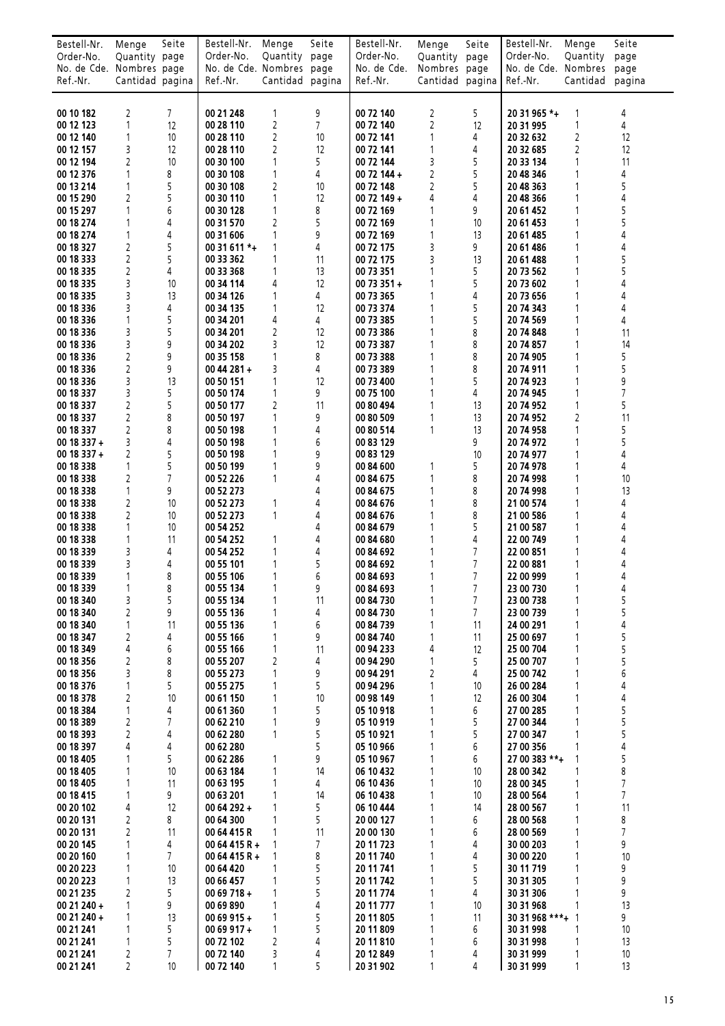| Bestell-Nr.              | Menge                          | Seite          | Bestell-Nr.               | Menge               | Seite          | Bestell-Nr.            | Menge           | Seite               | Bestell-Nr.            | Menge                        | Seite                            |
|--------------------------|--------------------------------|----------------|---------------------------|---------------------|----------------|------------------------|-----------------|---------------------|------------------------|------------------------------|----------------------------------|
| Order-No.                | Quantity page                  |                | Order-No.                 | Quantity page       |                | Order-No.              | Quantity page   |                     | Order-No.              | Quantity                     | page                             |
| No. de Cde. Nombres page |                                |                | No. de Cde. Nombres page  |                     |                | No. de Cde.            | Nombres page    |                     | No. de Cde. Nombres    |                              | page                             |
| Ref.-Nr.                 | Cantidad pagina                |                | Ref.-Nr.                  | Cantidad pagina     |                | Ref.-Nr.               | Cantidad pagina |                     | Ref.-Nr.               | Cantidad                     | pagina                           |
|                          |                                |                |                           |                     |                |                        |                 |                     |                        |                              |                                  |
| 00 10 182                | $\overline{c}$                 | 7              | 00 21 248                 | 1                   | 9              | 00 72 140              | $\overline{2}$  | 5                   | 20 31 965 *+           | $\mathbf{1}$                 | 4                                |
| 00 12 123                | 1                              | 12             | 00 28 110                 | $\overline{2}$      | $\overline{7}$ | 00 72 140              | $\overline{c}$  | 12                  | 20 31 995              | $\mathbf{1}$                 | 4                                |
| 00 12 140<br>00 12 157   | $\mathbf{1}$<br>3              | 10<br>12       | 00 28 110<br>00 28 110    | 2<br>$\overline{2}$ | 10<br>12       | 00 72 141<br>00 72 141 | 1<br>1          | 4<br>4              | 20 32 632<br>20 32 685 | 2<br>$\overline{2}$          | 12<br>12                         |
| 00 12 194                | $\overline{c}$                 | 10             | 00 30 100                 | $\mathbf{1}$        | 5              | 00 72 144              | 3               | 5                   | 20 33 134              | $\mathbf{1}$                 | 11                               |
| 00 12 376                | $\mathbf{1}$                   | 8              | 00 30 108                 | $\mathbf{1}$        | 4              | 00 72 144 +            | 2               | 5                   | 20 48 346              | 1                            | 4                                |
| 00 13 214                | $\mathbf{1}$                   | 5              | 00 30 108                 | $\overline{2}$      | 10             | 00 72 148              | $\overline{2}$  | 5                   | 20 48 363              | $\mathbf{1}$                 | 5                                |
| 00 15 290                | 2                              | 5              | 00 30 110                 | 1                   | 12             | 00 72 149 +            | 4               | 4                   | 20 48 366              | $\mathbf{1}$                 | 4                                |
| 00 15 297                | $\mathbf{1}$                   | 6              | 00 30 128                 | $\mathbf{1}$        | 8              | 00 72 169              | 1               | 9                   | 20 61 452              | $\mathbf{1}$                 | 5                                |
| 00 18 274                | $\mathbf{1}$<br>1              | 4              | 00 31 570                 | $\overline{2}$<br>1 | 5              | 00 72 169              | 1<br>1          | 10<br>13            | 20 61 453              | $\mathbf{1}$                 | 5<br>4                           |
| 00 18 274<br>00 18 327   | $\overline{2}$                 | 4<br>5         | 00 31 606<br>00 31 611 *+ | 1                   | 9<br>4         | 00 72 169<br>00 72 175 | 3               | 9                   | 20 61 485<br>20 61 486 | $\mathbf{1}$                 | 4                                |
| 00 18 333                | $\overline{2}$                 | 5              | 00 33 362                 | $\mathbf{1}$        | 11             | 00 72 175              | 3               | 13                  | 20 61 488              | $\mathbf{1}$                 | 5                                |
| 00 18 335                | $\overline{2}$                 | 4              | 00 33 368                 | 1                   | 13             | 00 73 351              |                 | 5                   | 20 73 562              | $\mathbf{1}$                 | 5                                |
| 00 18 335                | 3                              | 10             | 00 34 114                 | 4                   | 12             | 00 73 351 +            | 1               | 5                   | 20 73 602              | 1                            | 4                                |
| 00 18 335                | 3                              | 13             | 00 34 126                 | $\mathbf{1}$        | 4              | 00 73 365              | 1               | 4                   | 20 73 656              | 1                            | 4                                |
| 00 18 336                | 3                              | 4              | 00 34 135                 | 1                   | 12             | 00 73 374              | 1               | 5                   | 20 74 343              | 1                            | 4                                |
| 00 18 336<br>00 18 336   | $\mathbf{1}$<br>3              | 5<br>5         | 00 34 201<br>00 34 201    | 4<br>$\overline{c}$ | 4<br>12        | 00 73 385<br>00 73 386 | 1<br>1          | 5<br>8              | 20 74 569<br>20 74 848 | $\mathbf{1}$<br>$\mathbf{1}$ | 4<br>11                          |
| 00 18 336                | 3                              | 9              | 00 34 202                 | 3                   | 12             | 00 73 387              |                 | 8                   | 20 74 857              |                              | 14                               |
| 00 18 336                | $\overline{2}$                 | 9              | 00 35 158                 | $\mathbf{1}$        | 8              | 00 73 388              | 1               | 8                   | 20 74 905              | 1                            | 5                                |
| 00 18 336                | $\overline{2}$                 | 9              | $0044281 +$               | 3                   | 4              | 00 73 389              | 1               | 8                   | 20 74 911              | 1                            | 5                                |
| 00 18 336                | 3                              | 13             | 00 50 151                 | 1                   | 12             | 00 73 400              | 1               | 5                   | 20 74 923              | 1                            | 9                                |
| 00 18 337                | 3                              | 5              | 00 50 174                 | $\mathbf{1}$        | 9              | 00 75 100              | $\mathbf{1}$    | 4                   | 20 74 945              | 1                            | $\overline{7}$                   |
| 00 18 337                | $\overline{c}$                 | 5              | 00 50 177                 | $\overline{2}$      | 11             | 00 80 494              | 1               | 13                  | 20 74 952              | $\mathbf{1}$                 | 5                                |
| 00 18 337                | $\overline{2}$                 | 8              | 00 50 197                 | 1                   | 9              | 00 80 509              | 1               | 13                  | 20 74 952              | $\overline{c}$<br>1          | 11                               |
| 00 18 337<br>00 18 337 + | 2<br>3                         | 8<br>4         | 00 50 198<br>00 50 198    | 1<br>1              | 4<br>6         | 00 80 514<br>00 83 129 | 1               | 13<br>9             | 20 74 958<br>20 74 972 | 1                            | 5<br>5                           |
| 00 18 337 +              | $\overline{2}$                 | 5              | 00 50 198                 | 1                   | 9              | 00 83 129              |                 | 10                  | 20 74 977              |                              | 4                                |
| 00 18 338                | $\mathbf{1}$                   | 5              | 00 50 199                 | $\mathbf{1}$        | 9              | 00 84 600              | 1               | 5                   | 20 74 978              | $\mathbf{1}$                 | 4                                |
| 00 18 338                | $\overline{2}$                 | $\overline{7}$ | 00 52 226                 | $\mathbf{1}$        | 4              | 00 84 675              | 1               | 8                   | 20 74 998              | $\mathbf{1}$                 | 10                               |
| 00 18 338                | $\mathbf{1}$                   | 9              | 00 52 273                 |                     | 4              | 00 84 675              | 1               | 8                   | 20 74 998              | 1                            | 13                               |
| 00 18 338                | 2                              | 10             | 00 52 273                 | $\mathbf{1}$        | 4              | 00 84 676              | 1               | 8                   | 21 00 574              | $\mathbf{1}$                 | 4                                |
| 00 18 338<br>00 18 338   | $\overline{2}$<br>$\mathbf{1}$ | 10<br>10       | 00 52 273<br>00 54 252    | $\mathbf{1}$        | 4<br>4         | 00 84 676<br>00 84 679 | 1<br>1          | 8<br>5              | 21 00 586<br>21 00 587 | 1<br>1                       | 4<br>4                           |
| 00 18 338                | $\mathbf{1}$                   | 11             | 00 54 252                 | 1                   | 4              | 00 84 680              |                 | 4                   | 22 00 749              | 1                            | 4                                |
| 00 18 339                | 3                              | 4              | 00 54 252                 | 1                   | 4              | 00 84 692              |                 | 7                   | 22 00 851              | 1                            | 4                                |
| 00 18 339                | 3                              | 4              | 00 55 101                 | 1                   | 5              | 00 84 692              |                 | 7                   | 22 00 881              |                              | 4                                |
| 00 18 339                | $\mathbf{1}$                   | 8              | 00 55 106                 | 1                   | 6              | 00 84 693              | 1               | $\overline{7}$      | 22 00 999              | 1                            | 4                                |
| 00 18 339                | 1                              | 8              | 00 55 134                 | 1                   | 9              | 00 84 693              | 1               | $\overline{7}$      | 23 00 730              | $\mathbf{1}$                 | 4                                |
| 00 18 340                | 3<br>2                         | 5<br>9         | 00 55 134<br>00 55 136    | 1<br>1              | 11             | 00 84 730<br>00 84 730 | 1<br>1          | $\overline{7}$<br>7 | 23 00 738<br>23 00 739 | 1<br>1                       | 5<br>5                           |
| 00 18 340<br>00 18 340   | 1                              | 11             | 00 55 136                 | 1                   | 4<br>6         | 00 84 739              | 1               | 11                  | 24 00 291              | $\mathbf{1}$                 | 4                                |
| 00 18 347                | 2                              | 4              | 00 55 166                 | 1                   | 9              | 00 84 740              | 1               | 11                  | 25 00 697              | 1                            | 5                                |
| 00 18 349                | 4                              | 6              | 00 55 166                 | 1                   | 11             | 00 94 233              | 4               | 12                  | 25 00 704              | $\mathbf{1}$                 | 5                                |
| 00 18 356                | $\overline{c}$                 | 8              | 00 55 207                 | $\overline{c}$      | 4              | 00 94 290              | 1               | 5                   | 25 00 707              | 1                            | 5                                |
| 00 18 356                | 3                              | 8              | 00 55 273                 | 1                   | 9              | 00 94 291              | 2               | 4                   | 25 00 742              |                              | 6                                |
| 00 18 376                | 1                              | 5<br>10        | 00 55 275                 | 1                   | 5<br>10        | 00 94 296              | 1               | 10                  | 26 00 284              |                              | 4<br>4                           |
| 00 18 378<br>00 18 384   | 2<br>1                         | 4              | 00 61 150<br>00 61 360    | 1<br>1              | 5              | 00 98 149<br>05 10 918 |                 | 12<br>6             | 26 00 304<br>27 00 285 | 1<br>1                       | 5                                |
| 00 18 389                | 2                              | 7              | 00 62 210                 | 1                   | 9              | 05 10 919              |                 | 5                   | 27 00 344              | $\mathbf{1}$                 | 5                                |
| 00 18 393                | $\overline{c}$                 | 4              | 00 62 280                 | $\mathbf{1}$        | 5              | 05 10 921              | 1               | 5                   | 27 00 347              | 1                            | 5                                |
| 00 18 397                | 4                              | 4              | 00 62 280                 |                     | 5              | 05 10 966              |                 | 6                   | 27 00 356              |                              | 4                                |
| 00 18 405                | 1                              | 5              | 00 62 286                 | 1                   | 9              | 05 10 967              |                 | 6                   | 27 00 383 **+          |                              | 5                                |
| 00 18 405                | 1                              | 10             | 00 63 184                 | 1                   | 14             | 06 10 432              |                 | 10                  | 28 00 342              |                              | 8                                |
| 00 18 405<br>00 18 415   | 1<br>1                         | 11<br>9        | 00 63 195<br>00 63 201    | 1<br>1              | 4<br>14        | 06 10 436<br>06 10 438 |                 | 10<br>10            | 28 00 345<br>28 00 564 | 1                            | $\overline{7}$<br>$\overline{7}$ |
| 00 20 102                | 4                              | 12             | 00 64 292 +               | 1                   | 5              | 06 10 444              | 1               | 14                  | 28 00 567              | 1                            | 11                               |
| 00 20 131                | 2                              | 8              | 00 64 300                 |                     | 5              | 20 00 127              |                 | 6                   | 28 00 568              | 1                            | 8                                |
| 00 20 131                | 2                              | 11             | 00 64 415 R               |                     | 11             | 20 00 130              |                 | 6                   | 28 00 569              | 1                            | 7                                |
| 00 20 145                | 1                              | 4              | 00 64 415 R +             |                     | 7              | 20 11 723              | 1               | 4                   | 30 00 203              | 1                            | 9                                |
| 00 20 160                | 1                              | 7              | 00 64 415 R +             |                     | 8              | 20 11 740              |                 | 4                   | 30 00 220              | 1                            | 10                               |
| 00 20 223                | 1<br>1                         | 10             | 00 64 420                 | 1<br>1              | 5<br>5         | 20 11 741              |                 | 5<br>5              | 30 11 719              | 1<br>1                       | 9                                |
| 00 20 223<br>00 21 235   | 2                              | 13<br>5        | 00 66 457<br>00 69 718 +  | 1                   | 5              | 20 11 742<br>20 11 774 |                 | 4                   | 30 31 305<br>30 31 306 |                              | 9<br>9                           |
| 00 21 240 +              | 1                              | 9              | 00 69 890                 | 1                   | 4              | 20 11 777              |                 | 10                  | 30 31 968              | 1                            | 13                               |
| 00 21 240 +              | 1                              | 13             | 00 69 915 +               | 1                   | 5              | 20 11 805              | 1               | 11                  | 30 31 968 ***+ 1       |                              | 9                                |
| 00 21 241                | 1                              | 5              | $0069917+$                | 1                   | 5              | 20 11 809              |                 | 6                   | 30 31 998              | 1                            | 10                               |
| 00 21 241                | $\mathbf{1}$                   | 5              | 00 72 102                 | $\overline{2}$      | 4              | 20 11 810              |                 | 6                   | 30 31 998              | 1                            | 13                               |
| 00 21 241                | $\overline{c}$                 | $\overline{7}$ | 00 72 140                 | 3                   | 4              | 20 12 849              | 1               | 4                   | 30 31 999              | $\mathbf{1}$                 | 10                               |
| 00 21 241                | $\overline{2}$                 | 10             | 00 72 140                 | 1                   | 5              | 20 31 902              | 1               | 4                   | 30 31 999              | $\mathbf{1}$                 | 13                               |